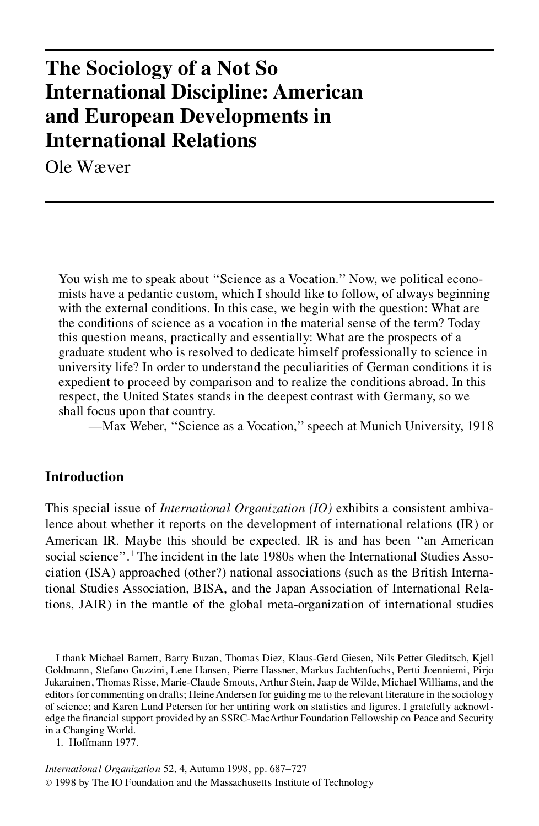# **The Sociology of a Not So International Discipline: American and European Developments in International Relations**

Ole Wæver

You wish me to speak about ''Science as a Vocation.'' Now, we political econo mists have a pedantic custom, which Ishould like to follow, of always beginning with the external conditions. In this case, we begin with the question: What are the conditions of science as a vocation in the material sense of the term? Today this question means, practically and essentially: What are the prospects of a graduate student who is resolved to dedicate himself professionally to science in university life? In order to understand the peculiarities of German conditions it is expedient to proceed by comparison and to realize the conditions abroad. In this respect, the United States stands in the deepest contrast with Germany, so we shall focus upon that country.

—Max Weber, ''Science as a Vocation,''speech at Munich University, 1918

## **Introduction**

This special issue of *International Organization (IO)* exhibits a consistent ambivalence about whether it reports on the development of international relations (IR) or American IR. Maybe this should be expected. IR is and has been ''an American social science".<sup>1</sup> The incident in the late 1980s when the International Studies Association (ISA) approached (other?) national associations (such as the British International Studies Association, BISA, and the Japan Association of International Relations, JAIR) in the mantle of the global meta-organization of international studies

I thank Michael Barnett, Barry Buzan, Thomas Diez, Klaus-Gerd Giesen, Nils Petter Gleditsch, Kjell Goldmann, Stefano Guzzini, Lene Hansen, Pierre Hassner, Markus Jachtenfuchs, Pertti Joenniemi, Pirjo Jukarainen, Thomas Risse, Marie-Claude Smouts, Arthur Stein, Jaap de Wilde, Michael Williams, and the editors for commenting on drafts; Heine Andersen for guiding me to the relevant literature in the sociology of science; and Karen Lund Petersen for her untiring work on statistics and figures. I gratefully acknowledge the financial support provided by an SSRC-MacArthur Foundation Fellowship on Peace and Security in a Changing World.

1. Hoffmann 1977.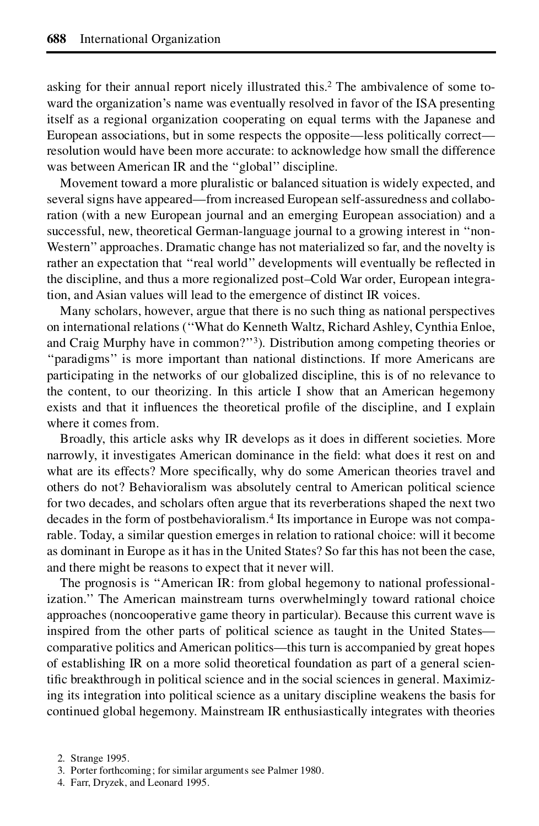asking for their annual report nicely illustrated this.<sup>2</sup> The ambivalence of some to ward the organization's name was eventually resolved in favor of the ISA presenting itself as a regional organization cooperating on equal terms with the Japanese and European associations, but in some respects the opposite—less politically correct resolution would have been more accurate: to acknowledge how small the difference was between American IR and the ''global'' discipline.

Movement toward a more pluralistic or balanced situation is widely expected, and several signs have appeared—from increased European self-assuredness and collaboration (with a new European journal and an emerging European association) and a successful, new, theoretical German-language journal to a growing interest in ''non- Western'' approaches. Dramatic change has not materialized so far, and the novelty is rather an expectation that "real world" developments will eventually be reflected in the discipline, and thus a more regionalized post–Cold War order, European integration, and Asian values will lead to the emergence of distinct IR voices.

Many scholars, however, argue that there is no such thing as national perspectives on international relations (''What do Kenneth Waltz, Richard Ashley, Cynthia Enloe, and Craig Murphy have in common?'' <sup>3</sup>). Distribution among competing theories or "paradigms" is more important than national distinctions. If more Americans are participating in the networks of our globalized discipline, this is of no relevance to the content, to our theorizing. In this article I show that an American hegemony exists and that it influences the theoretical profile of the discipline, and I explain where it comes from.

Broadly, this article asks why IR develops as it does in different societies. More narrowly, it investigates American dominance in the field: what does it rest on and what are its effects? More specifically, why do some American theories travel and others do not? Behavioralism was absolutely central to American political science for two decades, and scholars often argue that its reverberations shaped the next two decades in the form of postbehavioralism.<sup>4</sup> Its importance in Europe was not comparable. Today, a similar question emerges in relation to rational choice: will it become as dominant in Europe as it has in the United States? So far this has not been the case, and there might be reasons to expect that it never will.

The prognosis is ''American IR: from global hegemony to national professionalization.'' The American mainstream turns overwhelmingly toward rational choice approaches (noncooperative game theory in particular). Because this current wave is inspired from the other parts of political science as taught in the United States comparative politics and American politics—this turn is accompanied by great hopes of establishing IR on a more solid theoretical foundation as part of a general scientific breakthrough in political science and in the social sciences in general. Maximizing its integration into political science as a unitary discipline weakens the basis for continued global hegemony. Mainstream IR enthusiastically integrates with theories

- 3. Porter forthcoming; for similar arguments see Palmer 1980.
- 4. Farr, Dryzek, and Leonard 1995.

<sup>2.</sup> Strange 1995.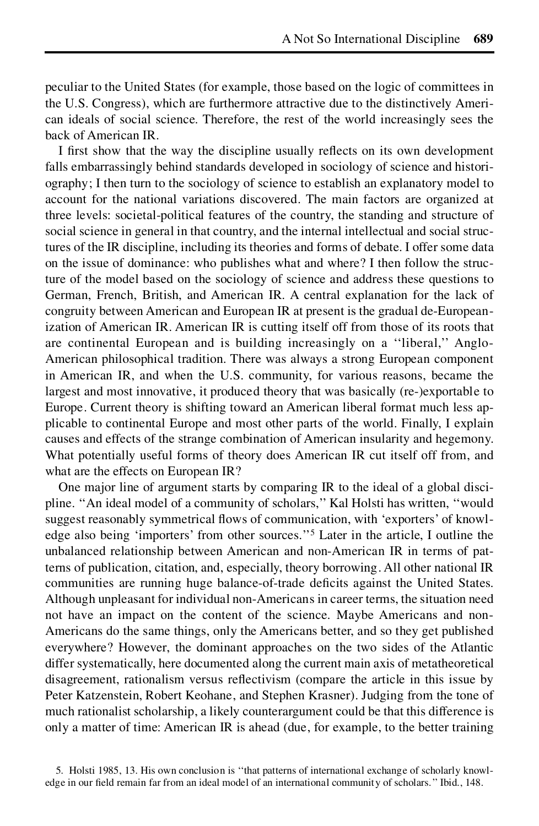peculiar to the United States (for example, those based on the logic of committees in the U.S. Congress), which are furthermore attractive due to the distinctively Ameri can ideals of social science. Therefore, the rest of the world increasingly sees the back of American IR.

I first show that the way the discipline usually reflects on its own development falls embarrassingly behind standards developed in sociology of science and histori ography; I then turn to the sociology of science to establish an explanatory model to account for the national variations discovered. The main factors are organized at three levels: societal-political features of the country, the standing and structure of social science in general in that country, and the internal intellectual and social structures of the IR discipline, including its theories and forms of debate. I offer some data on the issue of dominance: who publishes what and where? I then follow the structure of the model based on the sociology of science and address these questions to German, French, British, and American IR. A central explanation for the lack of congruity between American and European IR at present is the gradual de-Europeanization of American IR. American IR is cutting itself off from those of its roots that are continental European and is building increasingly on a ''liberal,'' Anglo- American philosophical tradition. There was always a strong European component in American IR, and when the U.S. community, for various reasons, became the largest and most innovative, it produced theory that was basically (re-)exportable to Europe. Current theory is shifting toward an American liberal format much less ap plicable to continental Europe and most other parts of the world. Finally, I explain causes and effects of the strange combination of American insularity and hegemony. What potentially useful forms of theory does American IR cut itself off from, and what are the effects on European IR?

One major line of argument starts by comparing IR to the ideal of a global disci pline. ''An ideal model of a community of scholars,'' Kal Holsti has written, ''would suggest reasonably symmetrical flows of communication, with 'exporters' of knowledge also being 'importers' from other sources.'' <sup>5</sup> Later in the article, I outline the unbalanced relationship between American and non-American IR in terms of patterns of publication, citation, and, especially, theory borrowing. All other national IR communities are running huge balance-of-trade deficits against the United States. Although unpleasant for individual non-Americans in career terms, the situation need not have an impact on the content of the science. Maybe Americans and non- Americans do the same things, only the Americans better, and so they get published everywhere? However, the dominant approaches on the two sides of the Atlantic differ systematically, here documented along the current main axis of metatheoretical disagreement, rationalism versus reflectivism (compare the article in this issue by Peter Katzenstein, Robert Keohane, and Stephen Krasner). Judging from the tone of much rationalist scholarship, a likely counterargument could be that this difference is only a matter of time: American IR is ahead (due, for example, to the better training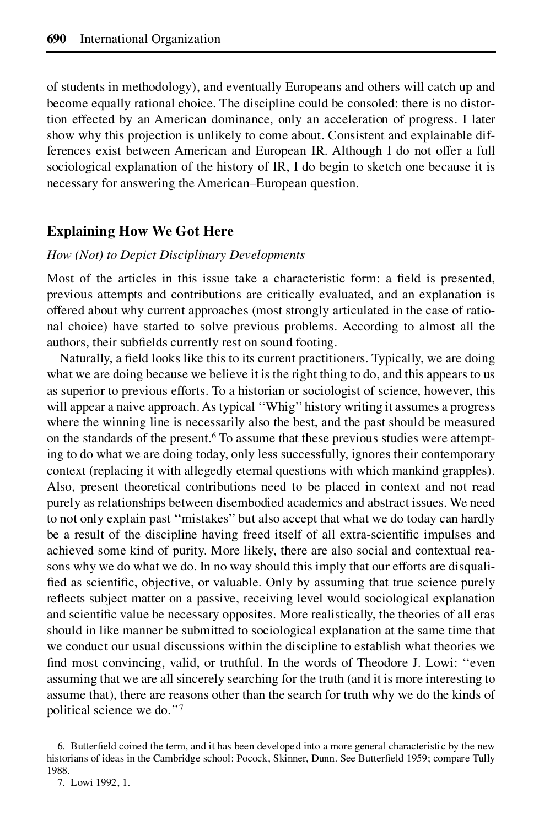of students in methodology), and eventually Europeans and others will catch up and become equally rational choice. The discipline could be consoled: there is no distortion effected by an American dominance, only an acceleration of progress. I later show why this projection is unlikely to come about. Consistent and explainable differences exist between American and European IR. Although I do not offer a full sociological explanation of the history of IR, I do begin to sketch one because it is necessary for answering the American–European question.

# **Explaining How We Got Here**

## *How (Not) to Depict Disciplinary Developments*

Most of the articles in this issue take a characteristic form: a field is presented, previous attempts and contributions are critically evaluated, and an explanation is offered about why current approaches (most strongly articulated in the case of ratio nal choice) have started to solve previous problems. According to almost all the authors, their subfields currently rest on sound footing.

Naturally, a field looks like this to its current practitioners. Typically, we are doing what we are doing because we believe it is the right thing to do, and this appears to us as superior to previous efforts. To a historian or sociologist of science, however, this will appear a naive approach. As typical "Whig" history writing it assumes a progress where the winning line is necessarily also the best, and the past should be measured on the standards of the present.<sup>6</sup> To assume that these previous studies were attempting to do what we are doing today, only less successfully, ignores their contemporary context (replacing it with allegedly eternal questions with which mankind grapples). Also, present theoretical contributions need to be placed in context and not read purely as relationships between disembodied academics and abstract issues. We need to not only explain past ''mistakes'' but also accept that what we do today can hardly be a result of the discipline having freed itself of all extra-scientific impulses and achieved some kind of purity. More likely, there are also social and contextual rea sons why we do what we do. In no way should this imply that our efforts are disquali fied as scientific, objective, or valuable. Only by assuming that true science purely reflects subject matter on a passive, receiving level would sociological explanation and scientific value be necessary opposites. More realistically, the theories of all eras should in like manner be submitted to sociological explanation at the same time that we conduct our usual discussions within the discipline to establish what theories we find most convincing, valid, or truthful. In the words of Theodore J. Lowi: "even assuming that we are all sincerely searching for the truth (and it is more interesting to assume that), there are reasons other than the search for truth why we do the kinds of political science we do.'' 7

<sup>6.</sup> Butter field coined the term, and it has been developed into a more general characteristic by the new historians of ideas in the Cambridge school: Pocock, Skinner, Dunn. See Butterfield 1959; compare Tully 1988.

<sup>7.</sup> Lowi 1992, 1.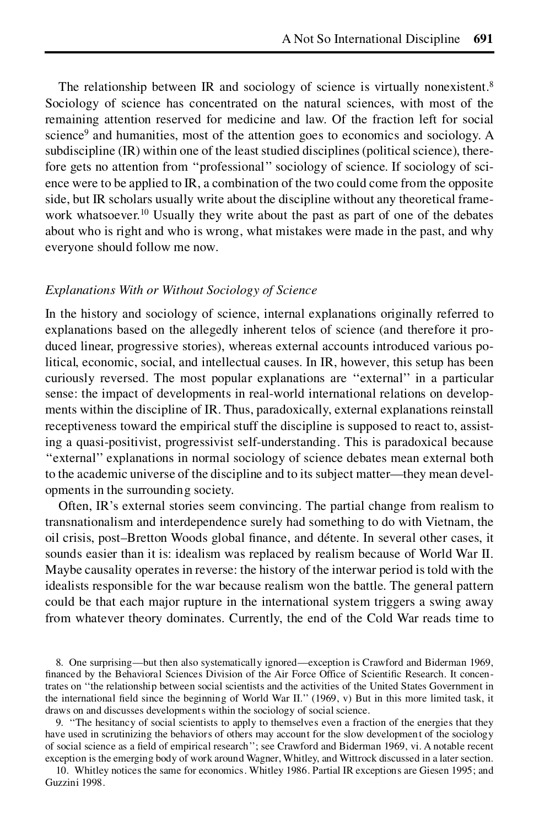The relationship between IR and sociology of science is virtually nonexistent.<sup>8</sup> Sociology of science has concentrated on the natural sciences, with most of the remaining attention reserved for medicine and law. Of the fraction left for social science<sup>9</sup> and humanities, most of the attention goes to economics and sociology. A subdiscipline (IR) within one of the least studied disciplines (political science), therefore gets no attention from ''professional'' sociology of science. If sociology of sci ence were to be applied to IR, a combination of the two could come from the opposite side, but IR scholars usually write about the discipline without any theoretical frame work whatsoever.<sup>10</sup> Usually they write about the past as part of one of the debates about who is right and who is wrong, what mistakes were made in the past, and why everyone should follow me now.

## *Explanations With or Without Sociology of Science*

In the history and sociology of science, internal explanations originally referred to explanations based on the allegedly inherent telos of science (and therefore it pro duced linear, progressive stories), whereas external accounts introduced various political, economic, social, and intellectual causes. In IR, however, this setup has been curiously reversed. The most popular explanations are ''external'' in a particular sense: the impact of developments in real-world international relations on develop ments within the discipline of IR. Thus, paradoxically, external explanations reinstall receptiveness toward the empirical stuff the discipline is supposed to react to, assisting a quasi-positivist, progressivist self-understanding. This is paradoxical because ''external'' explanations in normal sociology of science debates mean external both to the academic universe of the discipline and to its subject matter—they mean devel opments in the surrounding society.

Often, IR's external stories seem convincing. The partial change from realism to transnationalism and interdependence surely had something to do with Vietnam, the oil crisis, post–Bretton Woods global nance, and de´tente. In several other cases, it sounds easier than it is: idealism was replaced by realism because of World War II. Maybe causality operates in reverse: the history of the interwar period istold with the idealists responsible for the war because realism won the battle. The general pattern could be that each major rupture in the international system triggers a swing away from whatever theory dominates. Currently, the end of the Cold War reads time to

9. ''The hesitancy of social scientists to apply to themselves even a fraction of the energies that they have used in scrutinizing the behaviors of others may account for the slow development of the sociology of social science as a field of empirical research''; see Crawford and Biderman 1969, vi. A notable recent exception is the emerging body of work around Wagner, Whitley, and Wittrock discussed in a later section.

10. Whitley notices the same for economics. Whitley 1986. Partial IR exceptions are Giesen 1995; and Guzzini 1998.

<sup>8.</sup> One surprising—but then also systematically ignored—exception is Crawford and Biderman 1969, financed by the Behavioral Sciences Division of the Air Force Office of Scientific Research. It concentrates on ''the relationship between social scientists and the activities of the United States Government in the international field since the beginning of World War II." (1969, v) But in this more limited task, it draws on and discusses developments within the sociology of social science.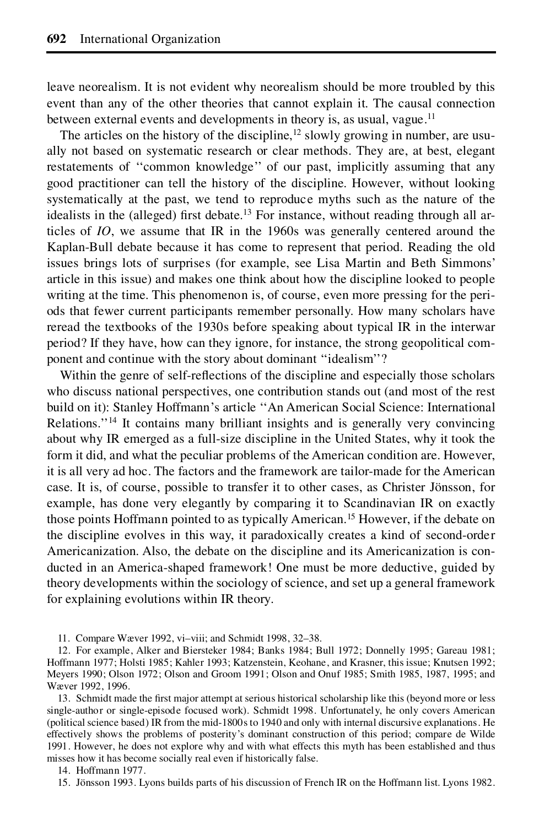leave neorealism. It is not evident why neorealism should be more troubled by this event than any of the other theories that cannot explain it. The causal connection between external events and developments in theory is, as usual, vague.<sup>11</sup>

The articles on the history of the discipline, $12$  slowly growing in number, are usually not based on systematic research or clear methods. They are, at best, elegant restatements of ''common knowledge'' of our past, implicitly assuming that any good practitioner can tell the history of the discipline. However, without looking systematically at the past, we tend to reproduce myths such as the nature of the idealists in the (alleged) first debate.<sup>13</sup> For instance, without reading through all articles of *IO*, we assume that IR in the 1960s was generally centered around the Kaplan-Bull debate because it has come to represent that period. Reading the old issues brings lots of surprises (for example, see Lisa Martin and Beth Simmons' article in this issue) and makes one think about how the discipline looked to people writing at the time. This phenomenon is, of course, even more pressing for the peri ods that fewer current participants remember personally. How many scholars have reread the textbooks of the 1930s before speaking about typical IR in the interwar period? If they have, how can they ignore, for instance, the strong geopolitical com ponent and continue with the story about dominant ''idealism''?

Within the genre of self-reflections of the discipline and especially those scholars who discuss national perspectives, one contribution stands out (and most of the rest build on it): Stanley Hoffmann's article ''An American Social Science: International Relations.'' <sup>14</sup> It contains many brilliant insights and is generally very convincing about why IR emerged as a full-size discipline in the United States, why it took the form it did, and what the peculiar problems of the American condition are. However, it is all very ad hoc. The factors and the framework are tailor-made for the American case. It is, of course, possible to transfer it to other cases, as Christer Jönsson, for example, has done very elegantly by comparing it to Scandinavian IR on exactly those points Hoffmann pointed to as typically American.<sup>15</sup> However, if the debate on the discipline evolves in this way, it paradoxically creates a kind of second-order Americanization. Also, the debate on the discipline and its Americanization is con ducted in an America-shaped framework! One must be more deductive, guided by theory developments within the sociology of science, and set up a general framework for explaining evolutions within IR theory.

11. Compare Wæver 1992, vi–viii; and Schmidt 1998, 32–38.

12. For example, Alker and Biersteker 1984; Banks 1984; Bull 1972; Donnelly 1995; Gareau 1981; Hoffmann 1977; Holsti 1985; Kahler 1993; Katzenstein, Keohane, and Krasner, this issue; Knutsen 1992; Meyers 1990; Olson 1972; Olson and Groom 1991; Olson and Onuf 1985; Smith 1985, 1987, 1995; and Wæver 1992, 1996.

13. Schmidt made the first major attempt at serious historical scholarship like this (beyond more or less single-author or single-episode focused work). Schmidt 1998. Unfortunately, he only covers American (political science based) IR from the mid-1800sto 1940 and only with internal discursive explanations. He effectively shows the problems of posterity's dominant construction of this period; compare de Wilde 1991. However, he does not explore why and with what effects this myth has been established and thus misses how it has become socially real even if historically false.

14. Hoffmann 1977.

15. Jönsson 1993. Lyons builds parts of his discussion of French IR on the Hoffmann list. Lyons 1982.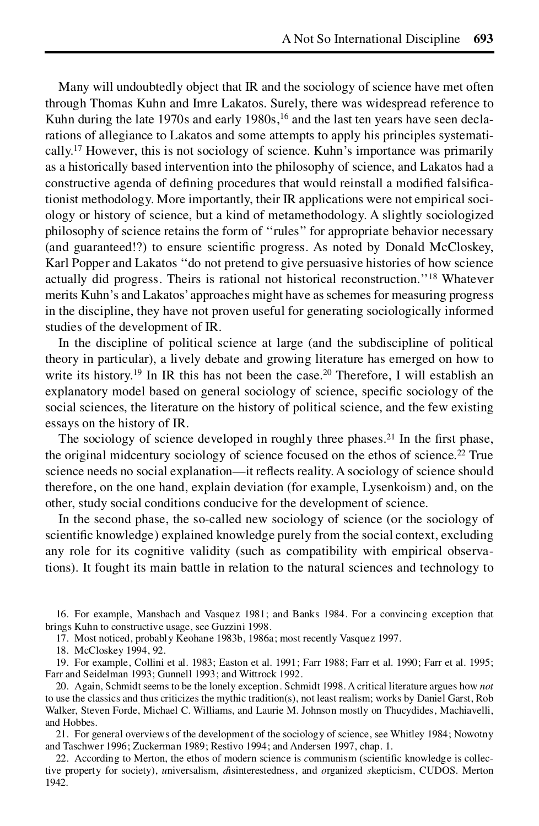Many will undoubtedly object that IR and the sociology of science have met often through Thomas Kuhn and Imre Lakatos. Surely, there was widespread reference to Kuhn during the late 1970s and early 1980s,<sup>16</sup> and the last ten years have seen declarations of allegiance to Lakatos and some attempts to apply his principles systemati cally.<sup>17</sup> However, this is not sociology of science. Kuhn's importance was primarily as a historically based intervention into the philosophy of science, and Lakatos had a constructive agenda of defining procedures that would reinstall a modified falsificationist methodology. More importantly, their IR applications were not empirical soci ology or history of science, but a kind of metamethodology. A slightly sociologized philosophy of science retains the form of ''rules'' for appropriate behavior necessary (and guaranteed!?) to ensure scientific progress. As noted by Donald McCloskey, Karl Popper and Lakatos ''do not pretend to give persuasive histories of how science actually did progress. Theirs is rational not historical reconstruction.'' <sup>18</sup> Whatever merits Kuhn's and Lakatos'approaches might have asschemes for measuring progress in the discipline, they have not proven useful for generating sociologically informed studies of the development of IR.

In the discipline of political science at large (and the subdiscipline of political theory in particular), a lively debate and growing literature has emerged on how to write its history.<sup>19</sup> In IR this has not been the case.<sup>20</sup> Therefore, I will establish an explanatory model based on general sociology of science, specific sociology of the social sciences, the literature on the history of political science, and the few existing essays on the history of IR.

The sociology of science developed in roughly three phases.<sup>21</sup> In the first phase, the original midcentury sociology of science focused on the ethos of science.<sup>22</sup> True science needs no social explanation—it reflects reality. A sociology of science should therefore, on the one hand, explain deviation (for example, Lysenkoism) and, on the other, study social conditions conducive for the development of science.

In the second phase, the so-called new sociology of science (or the sociology of scientific knowledge) explained knowledge purely from the social context, excluding any role for its cognitive validity (such as compatibility with empirical observations). It fought its main battle in relation to the natural sciences and technology to

16. For example, Mansbach and Vasquez 1981; and Banks 1984. For a convincing exception that brings Kuhn to constructive usage, see Guzzini 1998.

17. Most noticed, probably Keohane 1983b, 1986a; most recently Vasquez 1997.

18. McCloskey 1994, 92.

19. For example, Collini et al. 1983; Easton et al. 1991; Farr 1988; Farr et al. 1990; Farr et al. 1995; Farr and Seidelman 1993; Gunnell 1993; and Wittrock 1992.

20. Again, Schmidt seems to be the lonely exception. Schmidt 1998.A critical literature argues how *not* to use the classics and thus criticizes the mythic tradition(s), not least realism; works by Daniel Garst, Rob Walker, Steven Forde, Michael C. Williams, and Laurie M. Johnson mostly on Thucydides, Machiavelli, and Hobbes.

21. For general overviews of the development of the sociology of science, see Whitley 1984; Nowotny and Taschwer 1996; Zuckerman 1989; Restivo 1994; and Andersen 1997, chap. 1.

22. According to Merton, the ethos of modern science is *communism* (scientific knowledge is collective property for society), *u*niversalism, *d*isinterestedness, and *o*rganized *s*kepticism, CUDOS. Merton 1942.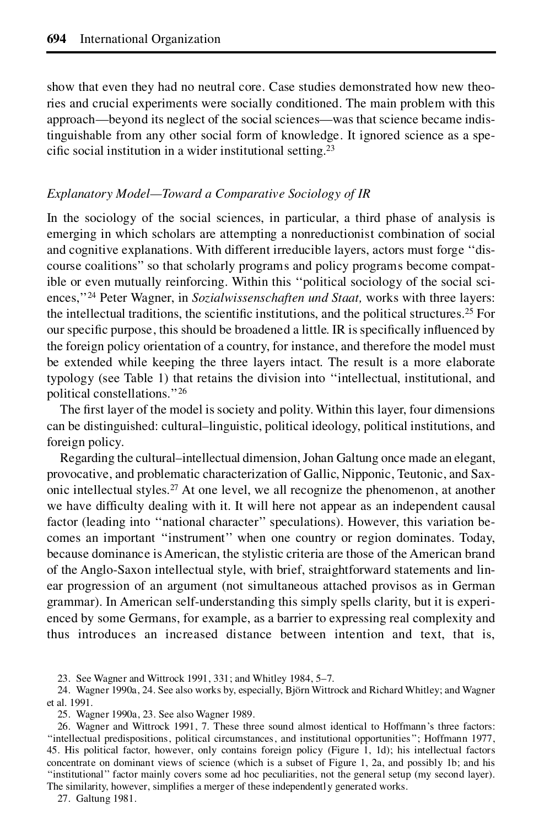show that even they had no neutral core. Case studies demonstrated how new theories and crucial experiments were socially conditioned. The main problem with this approach—beyond its neglect of the social sciences—was that science became indistinguishable from any other social form of knowledge. It ignored science as a spe cific social institution in a wider institutional setting.<sup>23</sup>

## *Explanatory Model—Toward a Comparative Sociology of IR*

In the sociology of the social sciences, in particular, a third phase of analysis is emerging in which scholars are attempting a nonreductionist combination of social and cognitive explanations. With different irreducible layers, actors must forge ''dis course coalitions'' so that scholarly programs and policy programs become compatible or even mutually reinforcing. Within this ''political sociology of the social sci ences,'' <sup>24</sup> Peter Wagner, in *Sozialwissenschaften und Staat,* works with three layers: the intellectual traditions, the scientific institutions, and the political structures.<sup>25</sup> For our specific purpose, this should be broadened a little. IR is specifically influenced by the foreign policy orientation of a country, for instance, and therefore the model must be extended while keeping the three layers intact. The result is a more elaborate typology (see Table 1) that retains the division into ''intellectual, institutional, and political constellations.'' 26

The first layer of the model is society and polity. Within this layer, four dimensions can be distinguished: cultural–linguistic, political ideology, political institutions, and foreign policy.

Regarding the cultural–intellectual dimension,Johan Galtung once made an elegant, provocative, and problematic characterization of Gallic, Nipponic, Teutonic, and Sax onic intellectual styles.<sup>27</sup> At one level, we all recognize the phenomenon, at another we have difficulty dealing with it. It will here not appear as an independent causal factor (leading into ''national character'' speculations). However, this variation be comes an important ''instrument'' when one country or region dominates. Today, because dominance isAmerican, the stylistic criteria are those of the American brand of the Anglo-Saxon intellectual style, with brief, straightforward statements and lin ear progression of an argument (not simultaneous attached provisos as in German grammar). In American self-understanding this simply spells clarity, but it is experi enced by some Germans, for example, as a barrier to expressing real complexity and thus introduces an increased distance between intention and text, that is,

23. See Wagner and Wittrock 1991, 331; and Whitley 1984, 5–7.

25. Wagner 1990a, 23. See also Wagner 1989.

26. Wagner and Wittrock 1991, 7. These three sound almost identical to Hoffmann's three factors: ''intellectual predispositions, political circumstances, and institutional opportunities''; Hoffmann 1977, 45. His political factor, however, only contains foreign policy (Figure 1, 1d); his intellectual factors concentrate on dominant views of science (which is a subset of Figure 1, 2a, and possibly 1b; and his ''institutional'' factor mainly covers some ad hoc peculiarities, not the general setup (my second layer). The similarity, however, simplifies a merger of these independently generated works.

27. Galtung 1981.

<sup>24.</sup> Wagner 1990a, 24. See also works by, especially, Björn Wittrock and Richard Whitley; and Wagner et al. 1991.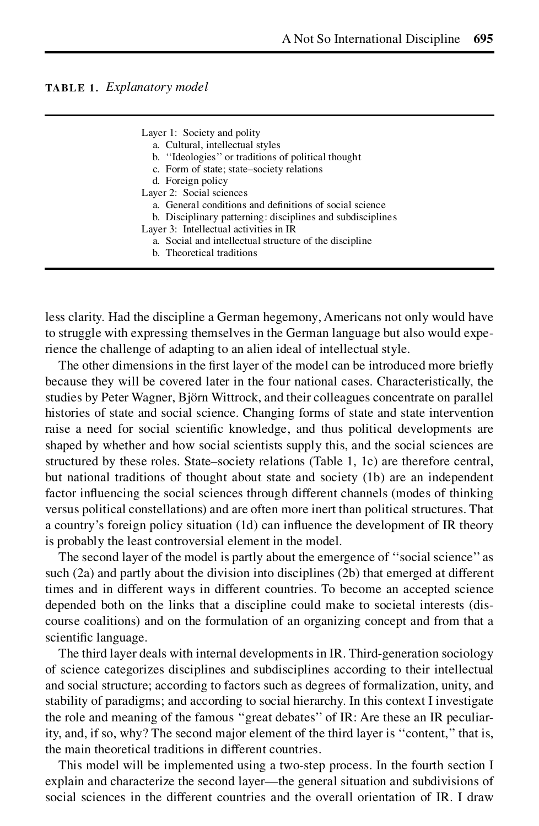**TABLE 1.***Explanatory model*

Layer 1: Society and polity

- a. Cultural, intellectual styles
- b. ''Ideologies'' or traditions of political thought
- c. Form of state; state–society relations
- d. Foreign policy

Layer 2: Social sciences

- a. General conditions and definitions of social science
- b. Disciplinary patterning: disciplines and subdisciplines
- Layer 3: Intellectual activities in IR
	- a. Social and intellectual structure of the discipline
	- b. Theoretical traditions

less clarity. Had the discipline a German hegemony, Americans not only would have to struggle with expressing themselves in the German language but also would experience the challenge of adapting to an alien ideal of intellectual style.

The other dimensions in the first layer of the model can be introduced more briefly because they will be covered later in the four national cases. Characteristically, the studies by Peter Wagner, Björn Wittrock, and their colleagues concentrate on parallel histories of state and social science. Changing forms of state and state intervention raise a need for social scientific knowledge, and thus political developments are shaped by whether and how social scientists supply this, and the social sciences are structured by these roles. State–society relations (Table 1, 1c) are therefore central, but national traditions of thought about state and society (1b) are an independent factor influencing the social sciences through different channels (modes of thinking versus political constellations) and are often more inert than political structures. That a country's foreign policy situation (1d) can influence the development of IR theory is probably the least controversial element in the model.

The second layer of the model is partly about the emergence of ''social science'' as such (2a) and partly about the division into disciplines (2b) that emerged at different times and in different ways in different countries. To become an accepted science depended both on the links that a discipline could make to societal interests (dis course coalitions) and on the formulation of an organizing concept and from that a scientific language.

The third layer deals with internal developments in IR. Third-generation sociology of science categorizes disciplines and subdisciplines according to their intellectual and social structure; according to factors such as degrees of formalization, unity, and stability of paradigms; and according to social hierarchy. In this context I investigate the role and meaning of the famous ''great debates'' of IR: Are these an IR peculiarity, and, if so, why? The second major element of the third layer is ''content,'' that is, the main theoretical traditions in different countries.

This model will be implemented using a two-step process. In the fourth section I explain and characterize the second layer—the general situation and subdivisions of social sciences in the different countries and the overall orientation of IR. I draw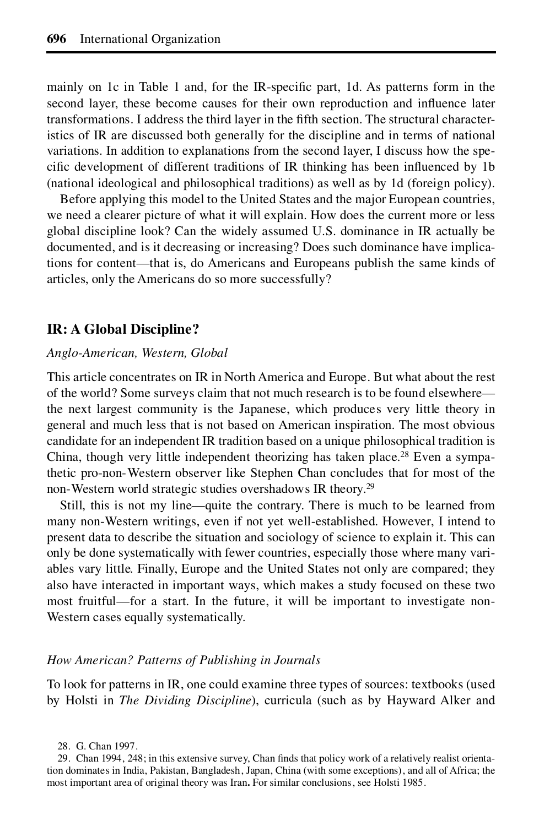mainly on 1c in Table 1 and, for the IR-specific part, 1d. As patterns form in the second layer, these become causes for their own reproduction and influence later transformations. I address the third layer in the fth section. The structural characteristics of IR are discussed both generally for the discipline and in terms of national variations. In addition to explanations from the second layer, I discuss how the spe cific development of different traditions of IR thinking has been influenced by 1b (national ideological and philosophical traditions) as well as by 1d (foreign policy).

Before applying this model to the United States and the major European countries, we need a clearer picture of what it will explain. How does the current more or less global discipline look? Can the widely assumed U.S. dominance in IR actually be documented, and is it decreasing or increasing? Does such dominance have implications for content—that is, do Americans and Europeans publish the same kinds of articles, only the Americans do so more successfully?

## **IR: A Global Discipline?**

## *Anglo-American, Western, Global*

This article concentrates on IR in North America and Europe. But what about the rest of the world? Some surveys claim that not much research is to be found elsewhere the next largest community is the Japanese, which produces very little theory in general and much less that is not based on American inspiration. The most obvious candidate for an independent IR tradition based on a unique philosophical tradition is China, though very little independent theorizing has taken place.<sup>28</sup> Even a sympathetic pro-non-Western observer like Stephen Chan concludes that for most of the non-Western world strategic studies overshadows IR theory.<sup>29</sup>

Still, this is not my line—quite the contrary. There is much to be learned from many non-Western writings, even if not yet well-established. However, I intend to present data to describe the situation and sociology of science to explain it. This can only be done systematically with fewer countries, especially those where many vari ables vary little. Finally, Europe and the United States not only are compared; they also have interacted in important ways, which makes a study focused on these two most fruitful—for a start. In the future, it will be important to investigate non- Western cases equally systematically.

## *How American? Patterns of Publishing in Journals*

To look for patterns in IR, one could examine three types of sources: textbooks (used by Holsti in *The Dividing Discipline*), curricula (such as by Hayward Alker and

<sup>28.</sup> G. Chan 1997.

<sup>29.</sup> Chan 1994, 248; in this extensive survey, Chan finds that policy work of a relatively realist orientation dominates in India, Pakistan, Bangladesh, Japan, China (with some exceptions), and all of Africa; the most important area of original theory was Iran**.** For similar conclusions, see Holsti 1985.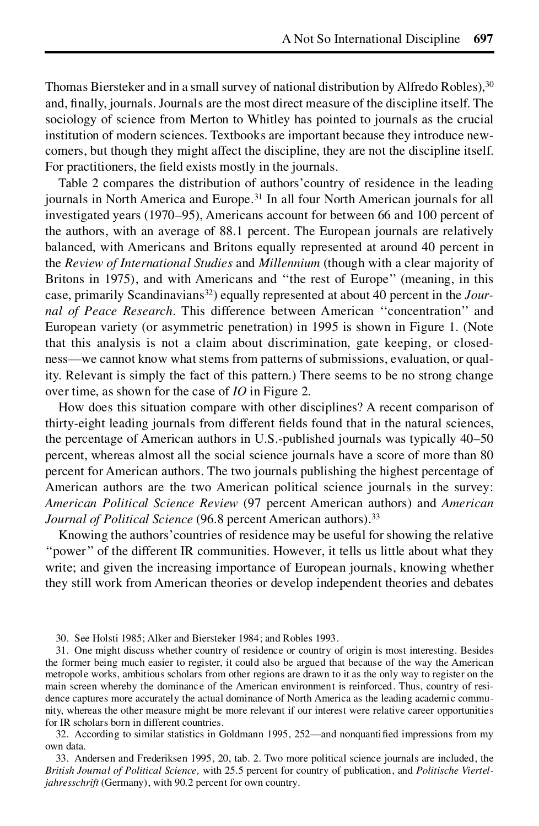Thomas Biersteker and in a small survey of national distribution by Alfredo Robles),<sup>30</sup> and, finally, journals. Journals are the most direct measure of the discipline itself. The sociology of science from Merton to Whitley has pointed to journals as the crucial institution of modern sciences. Textbooks are important because they introduce new comers, but though they might affect the discipline, they are not the discipline itself. For practitioners, the field exists mostly in the journals.

Table 2 compares the distribution of authors'country of residence in the leading journals in North America and Europe.<sup>31</sup> In all four North American journals for all investigated years (1970–95), Americans account for between 66 and 100 percent of the authors, with an average of 88.1 percent. The European journals are relatively balanced, with Americans and Britons equally represented at around 40 percent in the *Review of International Studies* and *Millennium* (though with a clear majority of Britons in 1975), and with Americans and ''the rest of Europe'' (meaning, in this case, primarily Scandinavians <sup>32</sup>) equally represented at about 40 percent in the *Jour nal of Peace Research*. This difference between American ''concentration'' and European variety (or asymmetric penetration) in 1995 is shown in Figure 1. (Note that this analysis is not a claim about discrimination, gate keeping, or closed ness—we cannot know what stems from patterns of submissions, evaluation, or quality. Relevant is simply the fact of this pattern.) There seems to be no strong change over time, as shown for the case of *IO* in Figure 2.

How does this situation compare with other disciplines? A recent comparison of thirty-eight leading journals from different fields found that in the natural sciences, the percentage of American authors in U.S.-published journals was typically 40–50 percent, whereas almost all the social science journals have a score of more than 80 percent for American authors. The two journals publishing the highest percentage of American authors are the two American political science journals in the survey: *American Political Science Review* (97 percent American authors) and *American Journal of Political Science* (96.8 percent American authors).<sup>33</sup>

Knowing the authors'countries of residence may be useful for showing the relative ''power'' of the different IR communities. However, it tells us little about what they write; and given the increasing importance of European journals, knowing whether they still work from American theories or develop independent theories and debates

30. See Holsti 1985; Alker and Biersteker 1984; and Robles 1993.

31. One might discuss whether country of residence or country of origin is most interesting. Besides the former being much easier to register, it could also be argued that because of the way the American metropole works, ambitious scholars from other regions are drawn to it as the only way to register on the main screen whereby the dominance of the American environment is reinforced. Thus, country of resi dence captures more accurately the actual dominance of North America as the leading academic commu nity, whereas the other measure might be more relevant if our interest were relative career opportunities for IR scholars born in different countries.

32. According to similar statistics in Goldmann 1995, 252—and nonquanti ed impressions from my own data.

33. Andersen and Frederiksen 1995, 20, tab. 2. Two more political science journals are included, the *British Journal of Political Science,* with 25.5 percent for country of publication, and *Politische Vierteljahresschrift* (Germany), with 90.2 percent for own country.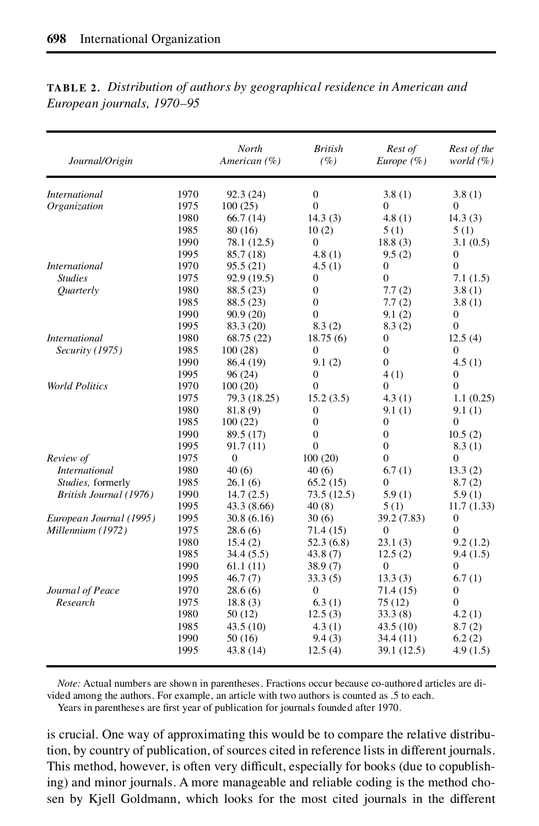| Journal/Origin          |      | North<br>American (%) | <b>British</b><br>(% | Rest of<br>Europe (%) | Rest of the<br>world $(\% )$ |
|-------------------------|------|-----------------------|----------------------|-----------------------|------------------------------|
| <i>International</i>    | 1970 | 92.3(24)              | $\boldsymbol{0}$     | 3.8(1)                | 3.8(1)                       |
| Organization            | 1975 | 100(25)               | $\mathbf{0}$         | $\mathbf{0}$          | $\overline{0}$               |
|                         | 1980 | 66.7(14)              | 14.3(3)              | 4.8(1)                | 14.3(3)                      |
|                         | 1985 | 80 (16)               | 10(2)                | 5(1)                  | 5(1)                         |
|                         | 1990 | 78.1 (12.5)           | $\mathbf{0}$         | 18.8(3)               | 3.1(0.5)                     |
|                         | 1995 | 85.7 (18)             | 4.8(1)               | 9.5(2)                | 0                            |
| <i>International</i>    | 1970 | 95.5(21)              | 4.5(1)               | $\mathbf{0}$          | $\theta$                     |
| <b>Studies</b>          | 1975 | 92.9 (19.5)           | 0                    | $\overline{0}$        | 7.1(1.5)                     |
| Quarterly               | 1980 | 88.5 (23)             | $\mathbf{0}$         | 7.7(2)                | 3.8(1)                       |
|                         | 1985 | 88.5 (23)             | $\mathbf{0}$         | 7.7(2)                | 3.8(1)                       |
|                         | 1990 | 90.9(20)              | $\mathbf{0}$         | 9.1(2)                | $\boldsymbol{0}$             |
|                         | 1995 | 83.3 (20)             | 8.3(2)               | 8.3(2)                | $\overline{0}$               |
| <i>International</i>    | 1980 | 68.75(22)             | 18.75(6)             | 0                     | 12.5(4)                      |
| Security (1975)         | 1985 | 100(28)               | $\mathbf{0}$         | $\mathbf{0}$          | 0                            |
|                         | 1990 | 86.4 (19)             | 9.1(2)               | $\mathbf{0}$          | 4.5(1)                       |
|                         | 1995 | 96 (24)               | $\Omega$             | 4(1)                  | 0                            |
| <b>World Politics</b>   | 1970 | 100(20)               | $\mathbf{0}$         | $\mathbf{0}$          | $\theta$                     |
|                         | 1975 | 79.3 (18.25)          | 15.2(3.5)            | 4.3(1)                | 1.1(0.25)                    |
|                         | 1980 | 81.8(9)               | $\mathbf 0$          | 9.1(1)                | 9.1(1)                       |
|                         | 1985 | 100(22)               | $\boldsymbol{0}$     | 0                     | $\mathbf{0}$                 |
|                         | 1990 | 89.5 (17)             | $\mathbf{0}$         | $\overline{0}$        | 10.5(2)                      |
|                         | 1995 | 91.7 (11)             | $\overline{0}$       | $\overline{0}$        | 8.3(1)                       |
| Review of               | 1975 | $\mathbf{0}$          | 100(20)              | 0                     | $\boldsymbol{0}$             |
| <i>International</i>    | 1980 | 40(6)                 | 40(6)                | 6.7(1)                | 13.3(2)                      |
| Studies, formerly       | 1985 | 26.1(6)               | 65.2(15)             | $\Omega$              | 8.7(2)                       |
| British Journal (1976)  | 1990 | 14.7(2.5)             | 73.5 (12.5)          | 5.9(1)                | 5.9(1)                       |
|                         | 1995 | 43.3 (8.66)           | 40(8)                | 5(1)                  | 11.7(1.33)                   |
| European Journal (1995) | 1995 | 30.8(6.16)            | 30(6)                | 39.2 (7.83)           | $\boldsymbol{0}$             |
| Millennium (1972)       | 1975 | 28.6(6)               | 71.4(15)             | $\boldsymbol{0}$      | 0                            |
|                         | 1980 | 15.4(2)               | 52.3(6.8)            | 23.1(3)               | 9.2(1.2)                     |
|                         | 1985 | 34.4(5.5)             | 43.8(7)              | 12.5(2)               | 9.4(1.5)                     |
|                         | 1990 | 61.1(11)              | 38.9(7)              | $\boldsymbol{0}$      | 0                            |
|                         | 1995 | 46.7(7)               | 33.3(5)              | 13.3(3)               | 6.7(1)                       |
| Journal of Peace        | 1970 | 28.6(6)               | $\mathbf{0}$         | 71.4 (15)             | $\overline{0}$               |
| Research                | 1975 | 18.8(3)               | 6.3(1)               | 75(12)                | $\overline{0}$               |
|                         | 1980 | 50(12)                | 12.5(3)              | 33.3(8)               | 4.2(1)                       |
|                         | 1985 | 43.5(10)              | 4.3(1)               | 43.5(10)              | 8.7(2)                       |
|                         | 1990 | 50(16)                | 9.4(3)               | 34.4 (11)             | 6.2(2)                       |
|                         | 1995 | 43.8 (14)             | 12.5(4)              | 39.1 (12.5)           | 4.9(1.5)                     |

**TABLE 2.***Distribution of authors by geographical residence in American and European journals, 1970–95*

*Note:* Actual numbers are shown in parentheses. Fractions occur because co-authored articles are di vided among the authors. For example, an article with two authors is counted as .5 to each.

Years in parentheses are first year of publication for journals founded after 1970.

is crucial. One way of approximating this would be to compare the relative distribution, by country of publication, of sources cited in reference lists in different journals. This method, however, is often very difficult, especially for books (due to copublishing) and minor journals. A more manageable and reliable coding is the method chosen by Kjell Goldmann, which looks for the most cited journals in the different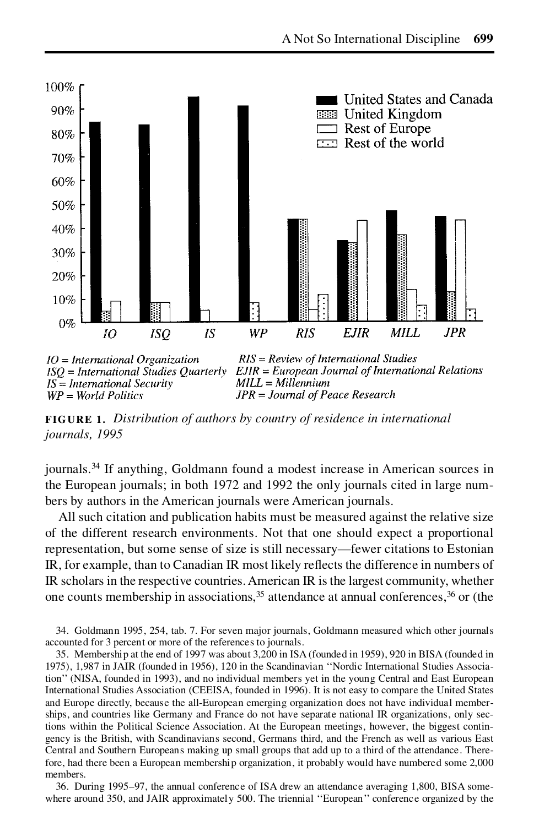

**FIGURE 1.***Distribution of authors by country of residence in international journals, 1995*

journals.<sup>34</sup> If anything, Goldmann found a modest increase in American sources in the European journals; in both 1972 and 1992 the only journals cited in large num bers by authors in the American journals were American journals.

All such citation and publication habits must be measured against the relative size of the different research environments. Not that one should expect a proportional representation, but some sense of size is still necessary—fewer citations to Estonian IR, for example, than to Canadian IR most likely reflects the difference in numbers of IR scholars in the respective countries.American IR isthe largest community, whether one counts membership in associations,  $35$  attendance at annual conferences,  $36$  or (the

34. Goldmann 1995, 254, tab. 7. For seven major journals, Goldmann measured which other journals accounted for 3 percent or more of the references to journals.

35. Membership at the end of 1997 was about 3,200 in ISA (founded in 1959), 920 in BISA (founded in 1975), 1,987 in JAIR (founded in 1956), 120 in the Scandinavian ''Nordic International Studies Association'' (NISA, founded in 1993), and no individual members yet in the young Central and East European International Studies Association (CEEISA, founded in 1996). It is not easy to compare the United States and Europe directly, because the all-European emerging organization does not have individual member ships, and countries like Germany and France do not have separate national IR organizations, only sections within the Political Science Association. At the European meetings, however, the biggest contin gency is the British, with Scandinavians second, Germans third, and the French as well as various East Central and Southern Europeans making up small groups that add up to a third of the attendance. Therefore, had there been a European membership organization, it probably would have numbered some 2,000 members.

36. During 1995–97, the annual conference of ISA drew an attendance averaging 1,800, BISA some where around 350, and JAIR approximately 500. The triennial ''European'' conference organized by the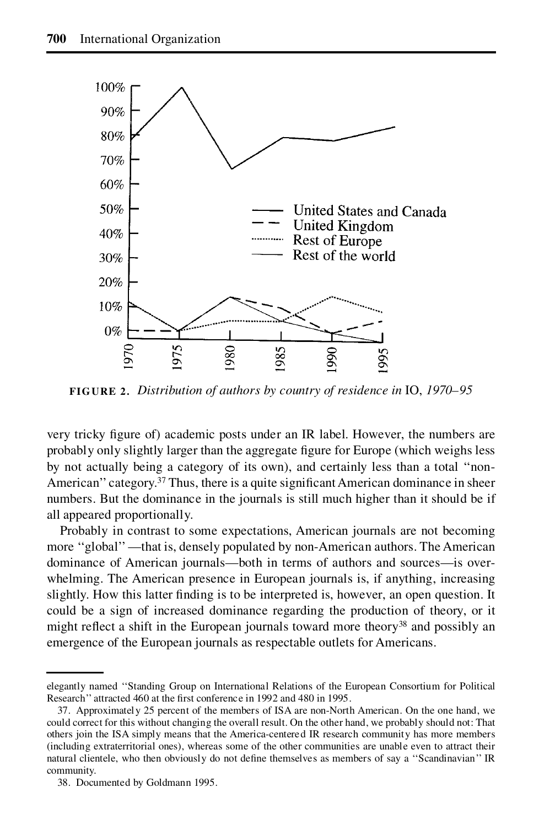

**FIGURE 2.***Distribution of authors by country of residence in* IO, *1970–95*

very tricky figure of) academic posts under an IR label. However, the numbers are probably only slightly larger than the aggregate figure for Europe (which weighs less by not actually being a category of its own), and certainly less than a total ''non- American'' category.<sup>37</sup> Thus, there is a quite significant American dominance in sheer numbers. But the dominance in the journals is still much higher than it should be if all appeared proportionally.

Probably in contrast to some expectations, American journals are not becoming more ''global''—that is, densely populated by non-American authors. The American dominance of American journals—both in terms of authors and sources—is over whelming. The American presence in European journals is, if anything, increasing slightly. How this latter finding is to be interpreted is, however, an open question. It could be a sign of increased dominance regarding the production of theory, or it might reflect a shift in the European journals toward more theory<sup>38</sup> and possibly an emergence of the European journals as respectable outlets for Americans.

elegantly named ''Standing Group on International Relations of the European Consortium for Political Research" attracted 460 at the first conference in 1992 and 480 in 1995.

<sup>37.</sup> Approximately 25 percent of the members of ISA are non-North American. On the one hand, we could correct for this without changing the overall result. On the other hand, we probably should not: That others join the ISA simply means that the America-centered IR research community has more members (including extraterritorial ones), whereas some of the other communities are unable even to attract their natural clientele, who then obviously do not define themselves as members of say a "Scandinavian" IR community.

<sup>38.</sup> Documented by Goldmann 1995.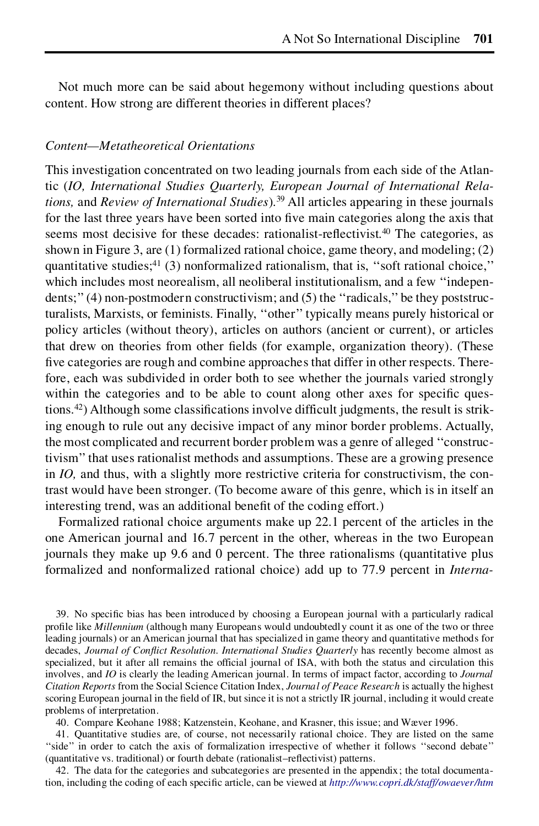Not much more can be said about hegemony without including questions about content. How strong are different theories in different places?

## *Content—Metatheoretical Orientations*

This investigation concentrated on two leading journals from each side of the Atlantic (*IO, International Studies Quarterly, European Journal of International Relations,* and *Review of International Studies*).<sup>39</sup> All articles appearing in these journals for the last three years have been sorted into five main categories along the axis that seems most decisive for these decades: rationalist-reflectivist.<sup>40</sup> The categories, as shown in Figure 3, are (1) formalized rational choice, game theory, and modeling; (2) quantitative studies;<sup>41</sup> (3) nonformalized rationalism, that is, "soft rational choice," which includes most neorealism, all neoliberal institutionalism, and a few "independents;''(4) non-postmodern constructivism; and (5) the ''radicals,'' be they poststructuralists, Marxists, or feminists. Finally, ''other''typically means purely historical or policy articles (without theory), articles on authors (ancient or current), or articles that drew on theories from other fields (for example, organization theory). (These five categories are rough and combine approaches that differ in other respects. Therefore, each was subdivided in order both to see whether the journals varied strongly within the categories and to be able to count along other axes for specific questions.<sup>42</sup>) Although some classifications involve difficult judgments, the result is striking enough to rule out any decisive impact of any minor border problems. Actually, the most complicated and recurrent border problem was a genre of alleged ''constructivism''that uses rationalist methods and assumptions. These are a growing presence in *IO,* and thus, with a slightly more restrictive criteria for constructivism, the contrast would have been stronger. (To become aware of this genre, which is in itself an interesting trend, was an additional benefit of the coding effort.)

Formalized rational choice arguments make up 22.1 percent of the articles in the one American journal and 16.7 percent in the other, whereas in the two European journals they make up 9.6 and 0 percent. The three rationalisms (quantitative plus formalized and nonformalized rational choice) add up to 77.9 percent in *Interna-*

39. No specific bias has been introduced by choosing a European journal with a particularly radical profile like *Millennium* (although many Europeans would undoubtedly count it as one of the two or three leading journals) or an American journal that has specialized in game theory and quantitative methods for decades, *Journal of Conict Resolution*. *International Studies Quarterly* has recently become almost as specialized, but it after all remains the official journal of ISA, with both the status and circulation this involves, and *IO* is clearly the leading American journal. In terms of impact factor, according to *Journal Citation Reports* from the Social Science Citation Index, *Journal of Peace Research* is actually the highest scoring European journal in the field of IR, but since it is not a strictly IR journal, including it would create problems of interpretation.

40. Compare Keohane 1988; Katzenstein, Keohane, and Krasner, this issue; and Wæver 1996.

41. Quantitative studies are, of course, not necessarily rational choice. They are listed on the same ''side'' in order to catch the axis of formalization irrespective of whether it follows ''second debate'' (quantitative vs. traditional) or fourth debate (rationalist-reflectivist) patterns.

42. The data for the categories and subcategories are presented in the appendix; the total documentation, including the coding of each specific article, can be viewed at *<http://www.copri.dk/staff/owaever/htm>*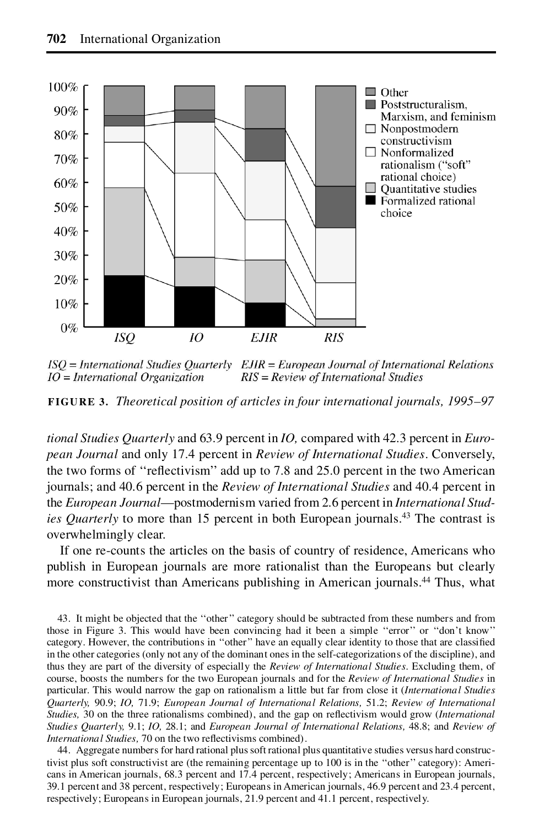

 $ISQ = International Studies Quarterly$   $EJIR = European Journal of International Relations$  $IO = International Organization$  $RIS = Review$  of International Studies

**FIGURE 3.** *Theoretical position of articles in four international journals, 1995–97*

*tional Studies Quarterly* and 63.9 percent in *IO,* compared with 42.3 percent in *European Journal* and only 17.4 percent in *Review of International Studies*. Conversely, the two forms of "reflectivism" add up to  $7.8$  and  $25.0$  percent in the two American journals; and 40.6 percent in the *Review of International Studies* and 40.4 percent in the *European Journal*—postmodernism varied from 2.6 percent in *International Studies Quarterly* to more than 15 percent in both European journals.<sup>43</sup> The contrast is overwhelmingly clear.

If one re-counts the articles on the basis of country of residence, Americans who publish in European journals are more rationalist than the Europeans but clearly more constructivist than Americans publishing in American journals.<sup>44</sup> Thus, what

43. It might be objected that the ''other'' category should be subtracted from these numbers and from those in Figure 3. This would have been convincing had it been a simple ''error'' or ''don't know'' category. However, the contributions in "other" have an equally clear identity to those that are classified in the other categories (only not any of the dominant ones in the self-categorizations of the discipline), and thus they are part of the diversity of especially the *Review of International Studies*. Excluding them, of course, boosts the numbers for the two European journals and for the *Review of International Studies* in particular. This would narrow the gap on rationalism a little but far from close it (*International Studies Quarterly,* 90.9; *IO,* 71.9; *European Journal of International Relations,* 51.2; *Review of International Studies,* 30 on the three rationalisms combined), and the gap on reflectivism would grow (*International Studies Quarterly,* 9.1; *IO,* 28.1; and *European Journal of International Relations,* 48.8; and *Review of International Studies, 70 on the two reflectivisms combined).* 

44. Aggregate numbers for hard rational plussoft rational plus quantitative studies versus hard constructivist plus soft constructivist are (the remaining percentage up to 100 is in the ''other'' category): Ameri cans in American journals, 68.3 percent and 17.4 percent, respectively; Americans in European journals, 39.1 percent and 38 percent, respectively; Europeans in American journals, 46.9 percent and 23.4 percent, respectively; Europeans in European journals, 21.9 percent and 41.1 percent, respectively.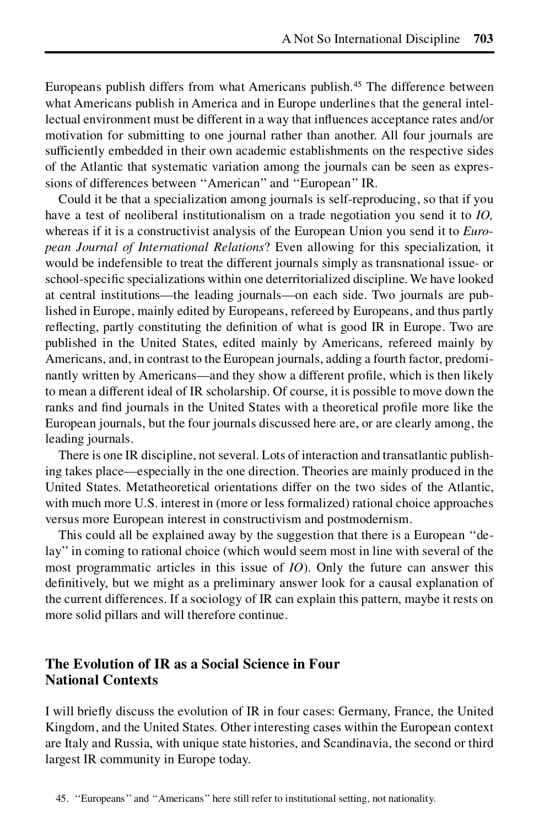Europeans publish differs from what Americans publish.<sup>45</sup> The difference between what Americans publish in America and in Europe underlines that the general intellectual environment must be different in a way that influences acceptance rates and/or motivation for submitting to one journal rather than another. All four journals are sufficiently embedded in their own academic establishments on the respective sides of the Atlantic that systematic variation among the journals can be seen as expressions of differences between ''American'' and ''European'' IR.

Could it be that a specialization among journals is self-reproducing, so that if you have a test of neoliberal institutionalism on a trade negotiation you send it to *IO,* whereas if it is a constructivist analysis of the European Union you send it to *European Journal of International Relations*? Even allowing for this specialization, it would be indefensible to treat the different journals simply as transnational issue- or school-specific specializations within one deterritorialized discipline. We have looked at central institutions—the leading journals—on each side. Two journals are published in Europe, mainly edited by Europeans, refereed by Europeans, and thus partly reflecting, partly constituting the definition of what is good IR in Europe. Two are published in the United States, edited mainly by Americans, refereed mainly by Americans, and, in contrast to the European journals, adding a fourth factor, predomi nantly written by Americans—and they show a different profile, which is then likely to mean a different ideal of IR scholarship. Of course, it is possible to move down the ranks and find journals in the United States with a theoretical profile more like the European journals, but the four journals discussed here are, or are clearly among, the leading journals.

There is one IR discipline, not several. Lots of interaction and transatlantic publishing takes place—especially in the one direction. Theories are mainly produced in the United States. Metatheoretical orientations differ on the two sides of the Atlantic, with much more U.S. interest in (more or less formalized) rational choice approaches versus more European interest in constructivism and postmodernism.

This could all be explained away by the suggestion that there is a European ''delay''in coming to rational choice (which would seem most in line with several of the most programmatic articles in this issue of *IO*). Only the future can answer this definitively, but we might as a preliminary answer look for a causal explanation of the current differences. If a sociology of IR can explain this pattern, maybe it rests on more solid pillars and will therefore continue.

# **The Evolution of IR as a Social Science in Four National Contexts**

I will briefly discuss the evolution of IR in four cases: Germany, France, the United Kingdom, and the United States. Other interesting cases within the European context are Italy and Russia, with unique state histories, and Scandinavia, the second or third largest IR community in Europe today.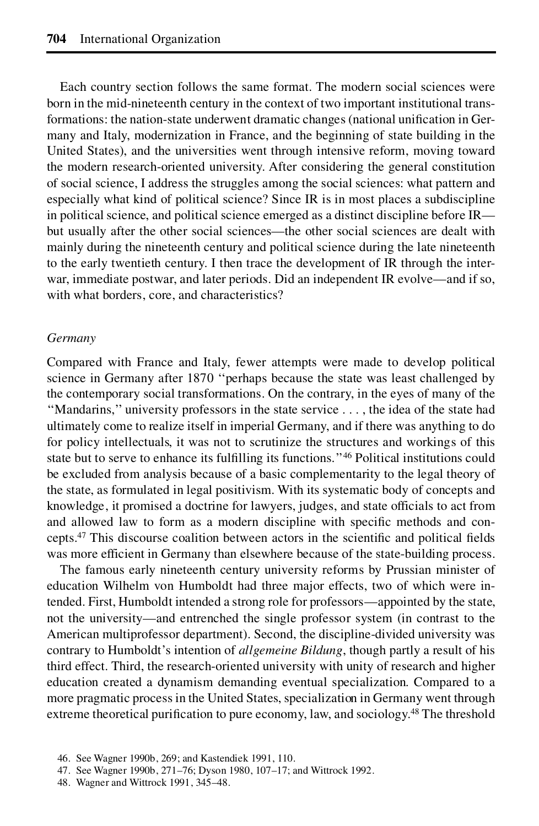Each country section follows the same format. The modern social sciences were born in the mid-nineteenth century in the context of two important institutional transformations: the nation-state underwent dramatic changes (national unification in Germany and Italy, modernization in France, and the beginning of state building in the United States), and the universities went through intensive reform, moving toward the modern research-oriented university. After considering the general constitution of social science, I address the struggles among the social sciences: what pattern and especially what kind of political science? Since IR is in most places a subdiscipline in political science, and political science emerged as a distinct discipline before IR but usually after the other social sciences—the other social sciences are dealt with mainly during the nineteenth century and political science during the late nineteenth to the early twentieth century. I then trace the development of IR through the inter war, immediate postwar, and later periods. Did an independent IR evolve—and if so, with what borders, core, and characteristics?

#### *Germany*

Compared with France and Italy, fewer attempts were made to develop political science in Germany after 1870 ''perhaps because the state was least challenged by the contemporary social transformations. On the contrary, in the eyes of many of the ''Mandarins,'' university professors in the state service . . . , the idea of the state had ultimately come to realize itself in imperial Germany, and if there was anything to do for policy intellectuals, it was not to scrutinize the structures and workings of this state but to serve to enhance its fulfilling its functions."<sup>46</sup> Political institutions could be excluded from analysis because of a basic complementarity to the legal theory of the state, as formulated in legal positivism. With its systematic body of concepts and knowledge, it promised a doctrine for lawyers, judges, and state officials to act from and allowed law to form as a modern discipline with specific methods and concepts. $47$  This discourse coalition between actors in the scientific and political fields was more efficient in Germany than elsewhere because of the state-building process.

The famous early nineteenth century university reforms by Prussian minister of education Wilhelm von Humboldt had three major effects, two of which were intended. First, Humboldt intended a strong role for professors—appointed by the state, not the university—and entrenched the single professor system (in contrast to the American multiprofessor department). Second, the discipline-divided university was contrary to Humboldt's intention of *allgemeine Bildung*, though partly a result of his third effect. Third, the research-oriented university with unity of research and higher education created a dynamism demanding eventual specialization. Compared to a more pragmatic process in the United States, specialization in Germany went through extreme theoretical purification to pure economy, law, and sociology.<sup>48</sup> The threshold

<sup>46.</sup> See Wagner 1990b, 269; and Kastendiek 1991, 110.

<sup>47.</sup> See Wagner 1990b, 271–76; Dyson 1980, 107–17; and Wittrock 1992.

<sup>48.</sup> Wagner and Wittrock 1991, 345–48.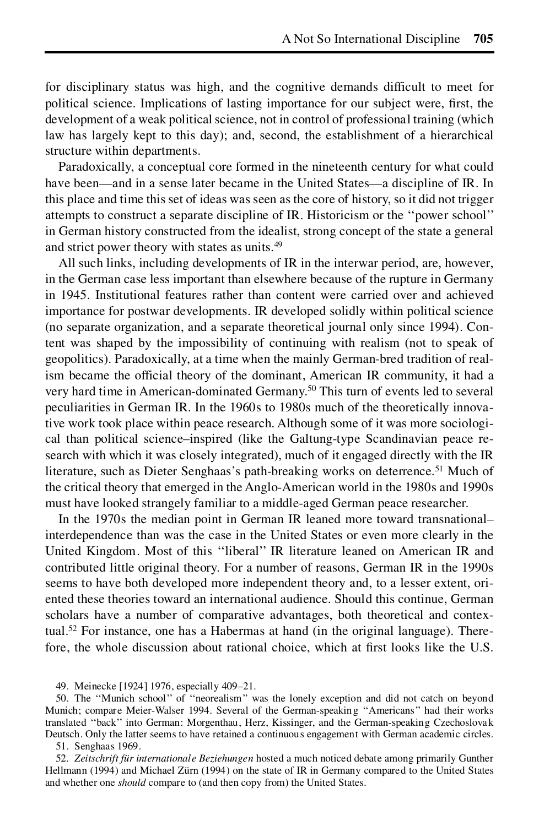for disciplinary status was high, and the cognitive demands difficult to meet for political science. Implications of lasting importance for our subject were, first, the development of a weak political science, not in control of professional training (which law has largely kept to this day); and, second, the establishment of a hierarchical structure within departments.

Paradoxically, a conceptual core formed in the nineteenth century for what could have been—and in a sense later became in the United States—a discipline of IR. In this place and time this set of ideas was seen as the core of history, so it did not trigger attempts to construct a separate discipline of IR. Historicism or the ''power school'' in German history constructed from the idealist, strong concept of the state a general and strict power theory with states as units.<sup>49</sup>

All such links, including developments of IR in the interwar period, are, however, in the German case less important than elsewhere because of the rupture in Germany in 1945. Institutional features rather than content were carried over and achieved importance for postwar developments. IR developed solidly within political science (no separate organization, and a separate theoretical journal only since 1994). Content was shaped by the impossibility of continuing with realism (not to speak of geopolitics). Paradoxically, at a time when the mainly German-bred tradition of realism became the official theory of the dominant, American IR community, it had a very hard time in American-dominated Germany.<sup>50</sup> This turn of events led to several peculiarities in German IR. In the 1960s to 1980s much of the theoretically innovative work took place within peace research. Although some of it was more sociologi cal than political science–inspired (like the Galtung-type Scandinavian peace research with which it was closely integrated), much of it engaged directly with the IR literature, such as Dieter Senghaas's path-breaking works on deterrence.<sup>51</sup> Much of the critical theory that emerged in the Anglo-American world in the 1980s and 1990s must have looked strangely familiar to a middle-aged German peace researcher.

In the 1970s the median point in German IR leaned more toward transnational– interdependence than was the case in the United States or even more clearly in the United Kingdom. Most of this ''liberal'' IR literature leaned on American IR and contributed little original theory. For a number of reasons, German IR in the 1990s seems to have both developed more independent theory and, to a lesser extent, ori ented these theories toward an international audience. Should this continue, German scholars have a number of comparative advantages, both theoretical and contextual.<sup>52</sup> For instance, one has a Habermas at hand (in the original language). Therefore, the whole discussion about rational choice, which at first looks like the U.S.

51. Senghaas 1969.

52. Zeitschrift für internationale Beziehungen hosted a much noticed debate among primarily Gunther Hellmann (1994) and Michael Zürn (1994) on the state of IR in Germany compared to the United States and whether one *should* compare to (and then copy from) the United States.

<sup>49.</sup> Meinecke [1924] 1976, especially 409–21.

<sup>50.</sup> The ''Munich school'' of ''neorealism'' was the lonely exception and did not catch on beyond Munich; compare Meier-Walser 1994. Several of the German-speaking ''Americans'' had their works translated ''back'' into German: Morgenthau, Herz, Kissinger, and the German-speaking Czechoslovak Deutsch. Only the latter seems to have retained a continuous engagement with German academic circles.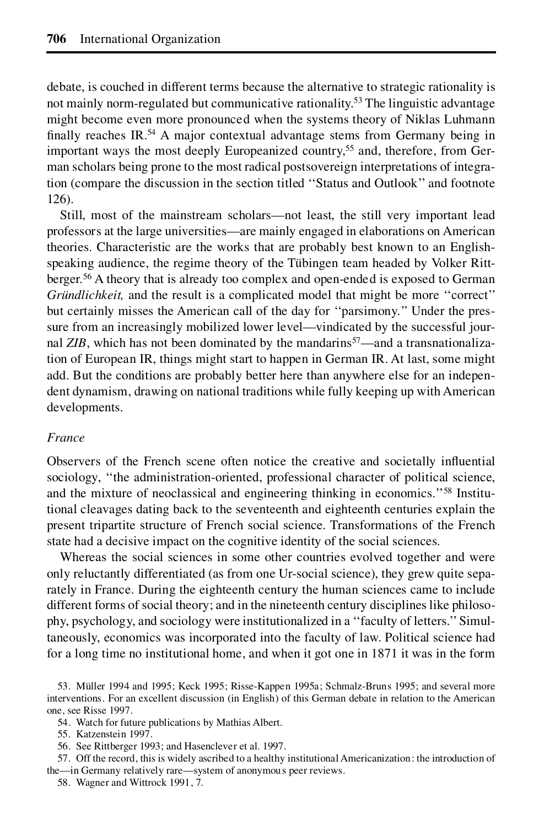debate, is couched in different terms because the alternative to strategic rationality is not mainly norm-regulated but communicative rationality.<sup>53</sup> The linguistic advantage might become even more pronounced when the systems theory of Niklas Luhmann finally reaches IR.<sup>54</sup> A major contextual advantage stems from Germany being in important ways the most deeply Europeanized country,<sup>55</sup> and, therefore, from German scholars being prone to the most radical postsovereign interpretations of integration (compare the discussion in the section titled ''Status and Outlook'' and footnote 126).

Still, most of the mainstream scholars—not least, the still very important lead professors at the large universities—are mainly engaged in elaborations on American theories. Characteristic are the works that are probably best known to an Englishspeaking audience, the regime theory of the Tübingen team headed by Volker Rittberger.<sup>56</sup> A theory that is already too complex and open-ended is exposed to German *Gründlichkeit*, and the result is a complicated model that might be more "correct" but certainly misses the American call of the day for ''parsimony.'' Under the pressure from an increasingly mobilized lower level—vindicated by the successful jour nal *ZIB*, which has not been dominated by the mandarins<sup>57</sup>—and a transnationalization of European IR, things might start to happen in German IR. At last, some might add. But the conditions are probably better here than anywhere else for an indepen dent dynamism, drawing on national traditions while fully keeping up with American developments.

## *France*

Observers of the French scene often notice the creative and societally influential sociology, ''the administration-oriented, professional character of political science, and the mixture of neoclassical and engineering thinking in economics.'' <sup>58</sup> Institutional cleavages dating back to the seventeenth and eighteenth centuries explain the present tripartite structure of French social science. Transformations of the French state had a decisive impact on the cognitive identity of the social sciences.

Whereas the social sciences in some other countries evolved together and were only reluctantly differentiated (as from one Ur-social science), they grew quite separately in France. During the eighteenth century the human sciences came to include different forms of social theory; and in the nineteenth century disciplines like philoso phy, psychology, and sociology were institutionalized in a ''faculty of letters.''Simultaneously, economics was incorporated into the faculty of law. Political science had for a long time no institutional home, and when it got one in 1871 it was in the form

- 54. Watch for future publications by Mathias Albert.
- 55. Katzenstein 1997.
- 56. See Rittberger 1993; and Hasenclever et al. 1997.
- 57. Off the record, this is widely ascribed to a healthy institutional Americanization: the introduction of the—in Germany relatively rare—system of anonymous peer reviews.
	- 58. Wagner and Wittrock 1991, 7.

<sup>53.</sup> Müller 1994 and 1995; Keck 1995; Risse-Kappen 1995a; Schmalz-Bruns 1995; and several more interventions. For an excellent discussion (in English) of this German debate in relation to the American one, see Risse 1997.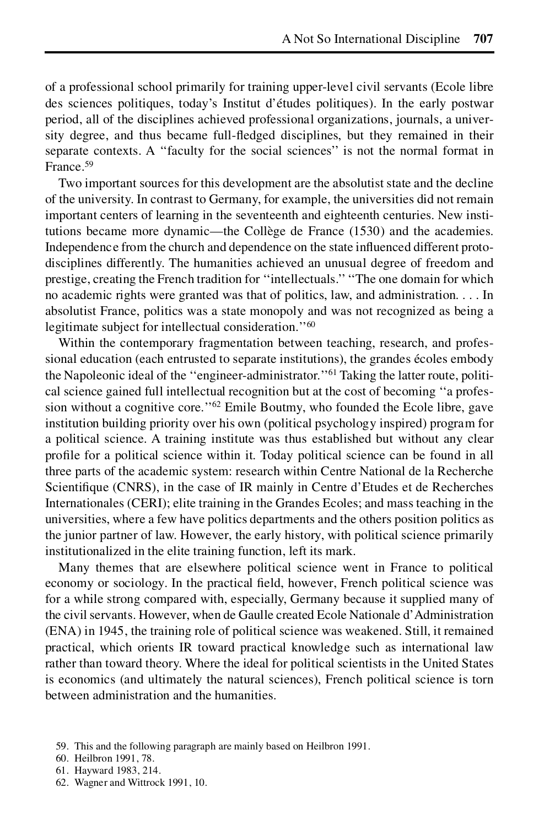of a professional school primarily for training upper-level civil servants (Ecole libre des sciences politiques, today's Institut d'e´tudes politiques). In the early postwar period, all of the disciplines achieved professional organizations, journals, a university degree, and thus became full-fledged disciplines, but they remained in their separate contexts. A ''faculty for the social sciences'' is not the normal format in France.<sup>59</sup>

Two important sources for this development are the absolutist state and the decline of the university. In contrast to Germany, for example, the universities did not remain important centers of learning in the seventeenth and eighteenth centuries. New institutions became more dynamic—the Collège de France (1530) and the academies. Independence from the church and dependence on the state influenced different protodisciplines differently. The humanities achieved an unusual degree of freedom and prestige, creating the French tradition for ''intellectuals.''''The one domain for which no academic rights were granted was that of politics, law, and administration. . . . In absolutist France, politics was a state monopoly and was not recognized as being a legitimate subject for intellectual consideration."<sup>60</sup>

Within the contemporary fragmentation between teaching, research, and professional education (each entrusted to separate institutions), the grandes écoles embody the Napoleonic ideal of the ''engineer-administrator.'' <sup>61</sup> Taking the latter route, politi cal science gained full intellectual recognition but at the cost of becoming ''a profession without a cognitive core."<sup>62</sup> Emile Boutmy, who founded the Ecole libre, gave institution building priority over his own (political psychology inspired) program for a political science. A training institute was thus established but without any clear profile for a political science within it. Today political science can be found in all three parts of the academic system: research within Centre National de la Recherche Scientifique (CNRS), in the case of IR mainly in Centre d'Etudes et de Recherches Internationales (CERI); elite training in the Grandes Ecoles; and mass teaching in the universities, where a few have politics departments and the others position politics as the junior partner of law. However, the early history, with political science primarily institutionalized in the elite training function, left its mark.

Many themes that are elsewhere political science went in France to political economy or sociology. In the practical field, however, French political science was for a while strong compared with, especially, Germany because it supplied many of the civil servants. However, when de Gaulle created Ecole Nationale d'Administration (ENA) in 1945, the training role of political science was weakened. Still, it remained practical, which orients IR toward practical knowledge such as international law rather than toward theory. Where the ideal for political scientists in the United States is economics (and ultimately the natural sciences), French political science is torn between administration and the humanities.

- 60. Heilbron 1991, 78.
- 61. Hayward 1983, 214.
- 62. Wagner and Wittrock 1991, 10.

<sup>59.</sup> This and the following paragraph are mainly based on Heilbron 1991.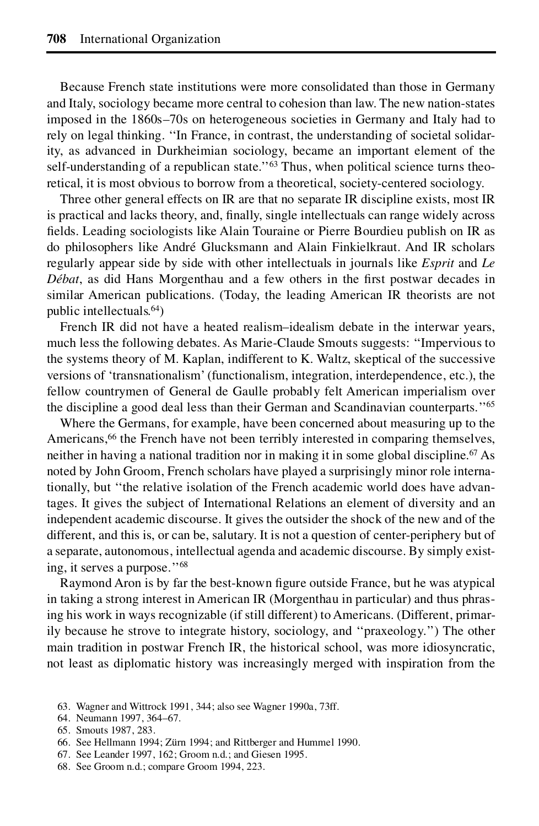Because French state institutions were more consolidated than those in Germany and Italy, sociology became more central to cohesion than law. The new nation-states imposed in the 1860s–70s on heterogeneous societies in Germany and Italy had to rely on legal thinking. ''In France, in contrast, the understanding of societal solidarity, as advanced in Durkheimian sociology, became an important element of the self-understanding of a republican state."<sup>63</sup> Thus, when political science turns theoretical, it is most obvious to borrow from a theoretical, society-centered sociology.

Three other general effects on IR are that no separate IR discipline exists, most IR is practical and lacks theory, and, finally, single intellectuals can range widely across fields. Leading sociologists like Alain Touraine or Pierre Bourdieu publish on IR as do philosophers like Andre´ Glucksmann and Alain Finkielkraut. And IR scholars regularly appear side by side with other intellectuals in journals like *Esprit* and *Le Débat*, as did Hans Morgenthau and a few others in the first postwar decades in similar American publications. (Today, the leading American IR theorists are not public intellectuals.<sup>64</sup>)

French IR did not have a heated realism–idealism debate in the interwar years, much less the following debates. As Marie-Claude Smouts suggests: ''Impervious to the systems theory of M. Kaplan, indifferent to K. Waltz, skeptical of the successive versions of 'transnationalism'(functionalism, integration, interdependence, etc.), the fellow countrymen of General de Gaulle probably felt American imperialism over the discipline a good deal less than their German and Scandinavian counterparts.'' 65

Where the Germans, for example, have been concerned about measuring up to the Americans,<sup>66</sup> the French have not been terribly interested in comparing themselves, neither in having a national tradition nor in making it in some global discipline.<sup>67</sup> As noted by John Groom, French scholars have played a surprisingly minor role internationally, but ''the relative isolation of the French academic world does have advantages. It gives the subject of International Relations an element of diversity and an independent academic discourse. It gives the outsider the shock of the new and of the different, and this is, or can be, salutary. It is not a question of center-periphery but of a separate, autonomous, intellectual agenda and academic discourse. By simply existing, it serves a purpose.'' 68

Raymond Aron is by far the best-known figure outside France, but he was atypical in taking a strong interest in American IR (Morgenthau in particular) and thus phrasing his work in ways recognizable (if still different) to Americans. (Different, primarily because he strove to integrate history, sociology, and ''praxeology.'') The other main tradition in postwar French IR, the historical school, was more idiosyncratic, not least as diplomatic history was increasingly merged with inspiration from the

- 63. Wagner and Wittrock 1991, 344; also see Wagner 1990a, 73ff.
- 64. Neumann 1997, 364–67.
- 65. Smouts 1987, 283.
- 66. See Hellmann 1994; Zürn 1994; and Rittberger and Hummel 1990.
- 67. See Leander 1997, 162; Groom n.d.; and Giesen 1995.
- 68. See Groom n.d.; compare Groom 1994, 223.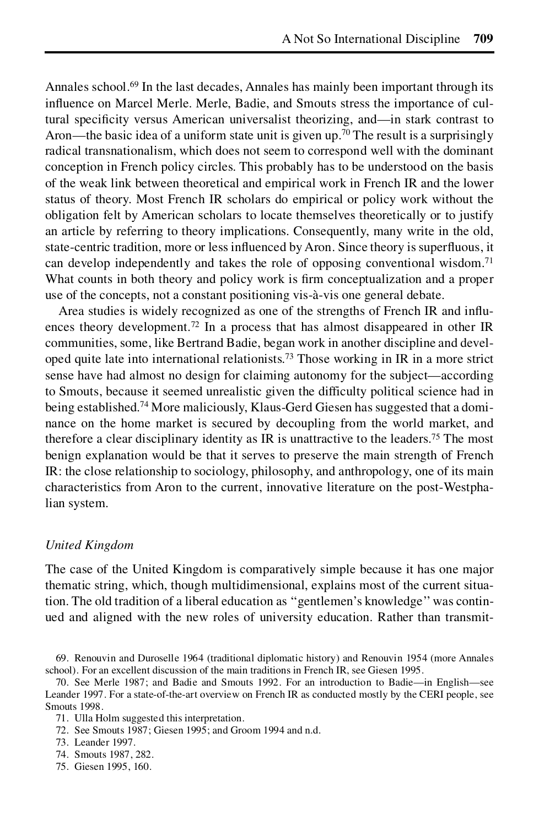Annales school.<sup>69</sup> In the last decades, Annales has mainly been important through its influence on Marcel Merle. Merle, Badie, and Smouts stress the importance of cultural specificity versus American universalist theorizing, and—in stark contrast to Aron—the basic idea of a uniform state unit is given up.<sup>70</sup> The result is a surprisingly radical transnationalism, which does not seem to correspond well with the dominant conception in French policy circles. This probably has to be understood on the basis of the weak link between theoretical and empirical work in French IR and the lower status of theory. Most French IR scholars do empirical or policy work without the obligation felt by American scholars to locate themselves theoretically or to justify an article by referring to theory implications. Consequently, many write in the old, state-centric tradition, more or less influenced by Aron. Since theory is superfluous, it can develop independently and takes the role of opposing conventional wisdom.<sup>71</sup> What counts in both theory and policy work is firm conceptualization and a proper use of the concepts, not a constant positioning vis-à-vis one general debate.

Area studies is widely recognized as one of the strengths of French IR and influences theory development.<sup>72</sup> In a process that has almost disappeared in other IR communities, some, like Bertrand Badie, began work in another discipline and devel oped quite late into international relationists.<sup>73</sup> Those working in IR in a more strict sense have had almost no design for claiming autonomy for the subject—according to Smouts, because it seemed unrealistic given the difficulty political science had in being established.<sup>74</sup> More maliciously, Klaus-Gerd Giesen has suggested that a domi nance on the home market is secured by decoupling from the world market, and therefore a clear disciplinary identity as IR is unattractive to the leaders.<sup>75</sup> The most benign explanation would be that it serves to preserve the main strength of French IR: the close relationship to sociology, philosophy, and anthropology, one of its main characteristics from Aron to the current, innovative literature on the post-Westphalian system.

## *United Kingdom*

The case of the United Kingdom is comparatively simple because it has one major thematic string, which, though multidimensional, explains most of the current situation. The old tradition of a liberal education as ''gentlemen's knowledge''was contin ued and aligned with the new roles of university education. Rather than transmit-

- 72. See Smouts 1987; Giesen 1995; and Groom 1994 and n.d.
- 73. Leander 1997.
- 74. Smouts 1987, 282.
- 75. Giesen 1995, 160.

<sup>69.</sup> Renouvin and Duroselle 1964 (traditional diplomatic history) and Renouvin 1954 (more Annales school). For an excellent discussion of the main traditions in French IR, see Giesen 1995.

<sup>70.</sup> See Merle 1987; and Badie and Smouts 1992. For an introduction to Badie—in English—see Leander 1997. For a state-of-the-art overview on French IR as conducted mostly by the CERI people, see Smouts 1998.

<sup>71.</sup> Ulla Holm suggested this interpretation.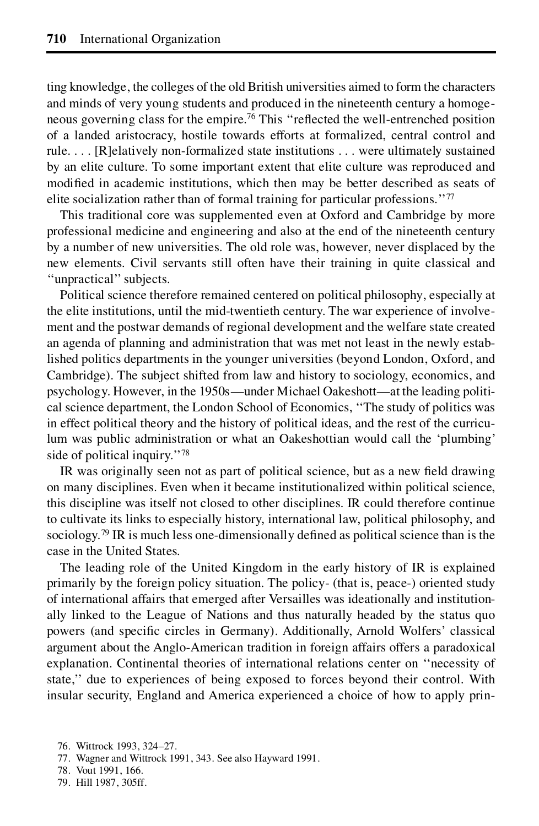ting knowledge, the colleges of the old British universities aimed to form the characters and minds of very young students and produced in the nineteenth century a homoge neous governing class for the empire.<sup>76</sup> This "reflected the well-entrenched position of a landed aristocracy, hostile towards efforts at formalized, central control and rule. . . . [R]elatively non-formalized state institutions . . . were ultimately sustained by an elite culture. To some important extent that elite culture was reproduced and modified in academic institutions, which then may be better described as seats of elite socialization rather than of formal training for particular professions."<sup>77</sup>

This traditional core was supplemented even at Oxford and Cambridge by more professional medicine and engineering and also at the end of the nineteenth century by a number of new universities. The old role was, however, never displaced by the new elements. Civil servants still often have their training in quite classical and ''unpractical''subjects.

Political science therefore remained centered on political philosophy, especially at the elite institutions, until the mid-twentieth century. The war experience of involve ment and the postwar demands of regional development and the welfare state created an agenda of planning and administration that was met not least in the newly established politics departments in the younger universities (beyond London, Oxford, and Cambridge). The subject shifted from law and history to sociology, economics, and psychology. However, in the 1950s—under Michael Oakeshott—at the leading politi cal science department, the London School of Economics, ''The study of politics was in effect political theory and the history of political ideas, and the rest of the curriculum was public administration or what an Oakeshottian would call the 'plumbing' side of political inquiry."<sup>78</sup>

IR was originally seen not as part of political science, but as a new field drawing on many disciplines. Even when it became institutionalized within political science, this discipline was itself not closed to other disciplines. IR could therefore continue to cultivate its links to especially history, international law, political philosophy, and sociology.<sup>79</sup> IR is much less one-dimensionally defined as political science than is the case in the United States.

The leading role of the United Kingdom in the early history of IR is explained primarily by the foreign policy situation. The policy- (that is, peace-) oriented study of international affairs that emerged after Versailles was ideationally and institution ally linked to the League of Nations and thus naturally headed by the status quo powers (and specific circles in Germany). Additionally, Arnold Wolfers' classical argument about the Anglo-American tradition in foreign affairs offers a paradoxical explanation. Continental theories of international relations center on ''necessity of state,'' due to experiences of being exposed to forces beyond their control. With insular security, England and America experienced a choice of how to apply prin-

<sup>76.</sup> Wittrock 1993, 324–27.

<sup>77.</sup> Wagner and Wittrock 1991, 343. See also Hayward 1991.

<sup>78.</sup> Vout 1991, 166.

<sup>79.</sup> Hill 1987, 305ff.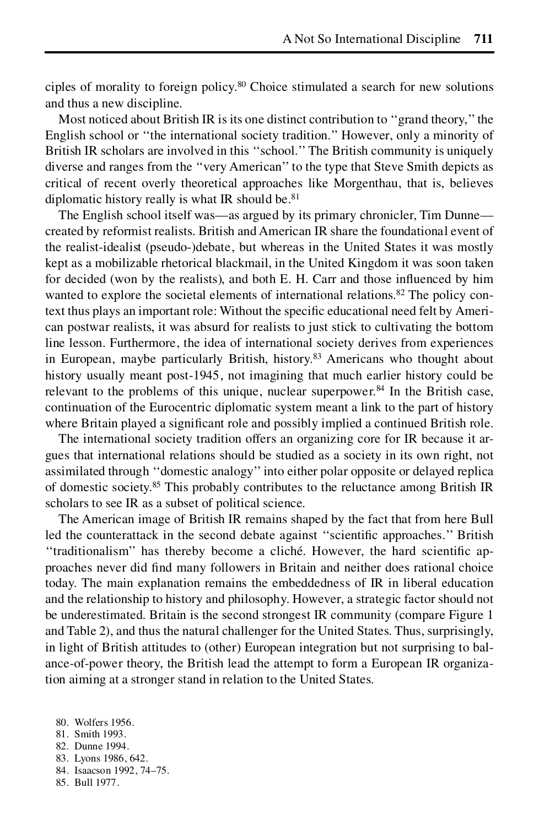ciples of morality to foreign policy.<sup>80</sup> Choice stimulated a search for new solutions and thus a new discipline.

Most noticed about British IR isits one distinct contribution to ''grand theory,''the English school or ''the international society tradition.'' However, only a minority of British IR scholars are involved in this ''school.'' The British community is uniquely diverse and ranges from the ''very American''to the type that Steve Smith depicts as critical of recent overly theoretical approaches like Morgenthau, that is, believes diplomatic history really is what IR should be. $81$ 

The English school itself was—as argued by its primary chronicler, Tim Dunne created by reformist realists. British and American IR share the foundational event of the realist-idealist (pseudo-)debate, but whereas in the United States it was mostly kept as a mobilizable rhetorical blackmail, in the United Kingdom it was soon taken for decided (won by the realists), and both E. H. Carr and those influenced by him wanted to explore the societal elements of international relations.<sup>82</sup> The policy context thus plays an important role: Without the specific educational need felt by American postwar realists, it was absurd for realists to just stick to cultivating the bottom line lesson. Furthermore, the idea of international society derives from experiences in European, maybe particularly British, history.<sup>83</sup> Americans who thought about history usually meant post-1945, not imagining that much earlier history could be relevant to the problems of this unique, nuclear superpower.<sup>84</sup> In the British case, continuation of the Eurocentric diplomatic system meant a link to the part of history where Britain played a significant role and possibly implied a continued British role.

The international society tradition offers an organizing core for IR because it ar gues that international relations should be studied as a society in its own right, not assimilated through ''domestic analogy''into either polar opposite or delayed replica of domestic society.<sup>85</sup> This probably contributes to the reluctance among British IR scholars to see IR as a subset of political science.

The American image of British IR remains shaped by the fact that from here Bull led the counterattack in the second debate against "scientific approaches." British "traditionalism" has thereby become a cliché. However, the hard scientific approaches never did find many followers in Britain and neither does rational choice today. The main explanation remains the embeddedness of IR in liberal education and the relationship to history and philosophy. However, a strategic factor should not be underestimated. Britain is the second strongest IR community (compare Figure 1 and Table 2), and thus the natural challenger for the United States. Thus, surprisingly, in light of British attitudes to (other) European integration but not surprising to bal ance-of-power theory, the British lead the attempt to form a European IR organization aiming at a stronger stand in relation to the United States.

- 81. Smith 1993.
- 82. Dunne 1994.
- 83. Lyons 1986, 642.
- 84. Isaacson 1992, 74–75.
- 85. Bull 1977.

<sup>80.</sup> Wolfers 1956.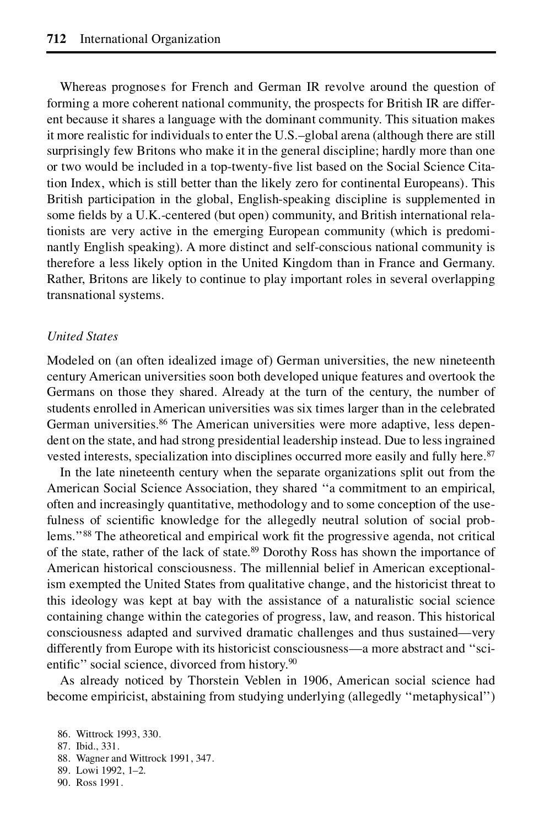Whereas prognoses for French and German IR revolve around the question of forming a more coherent national community, the prospects for British IR are differ ent because it shares a language with the dominant community. This situation makes it more realistic for individuals to enter the U.S.–global arena (although there are still surprisingly few Britons who make it in the general discipline; hardly more than one or two would be included in a top-twenty-five list based on the Social Science Citation Index, which is still better than the likely zero for continental Europeans). This British participation in the global, English-speaking discipline is supplemented in some fields by a U.K.-centered (but open) community, and British international relationists are very active in the emerging European community (which is predomi nantly English speaking). A more distinct and self-conscious national community is therefore a less likely option in the United Kingdom than in France and Germany. Rather, Britons are likely to continue to play important roles in several overlapping transnational systems.

# *United States*

Modeled on (an often idealized image of) German universities, the new nineteenth century American universities soon both developed unique features and overtook the Germans on those they shared. Already at the turn of the century, the number of students enrolled in American universities was six times larger than in the celebrated German universities.<sup>86</sup> The American universities were more adaptive, less dependent on the state, and had strong presidential leadership instead. Due to less ingrained vested interests, specialization into disciplines occurred more easily and fully here.<sup>87</sup>

In the late nineteenth century when the separate organizations split out from the American Social Science Association, they shared ''a commitment to an empirical, often and increasingly quantitative, methodology and to some conception of the usefulness of scientific knowledge for the allegedly neutral solution of social problems."<sup>88</sup> The atheoretical and empirical work fit the progressive agenda, not critical of the state, rather of the lack of state.<sup>89</sup> Dorothy Ross has shown the importance of American historical consciousness. The millennial belief in American exceptionalism exempted the United States from qualitative change, and the historicist threat to this ideology was kept at bay with the assistance of a naturalistic social science containing change within the categories of progress, law, and reason. This historical consciousness adapted and survived dramatic challenges and thus sustained—very differently from Europe with its historicist consciousness—a more abstract and ''sci entific" social science, divorced from history.<sup>90</sup>

As already noticed by Thorstein Veblen in 1906, American social science had become empiricist, abstaining from studying underlying (allegedly ''metaphysical'')

- 87. Ibid., 331.
- 88. Wagner and Wittrock 1991, 347.
- 89. Lowi 1992, 1–2.

<sup>86.</sup> Wittrock 1993, 330.

<sup>90.</sup> Ross 1991.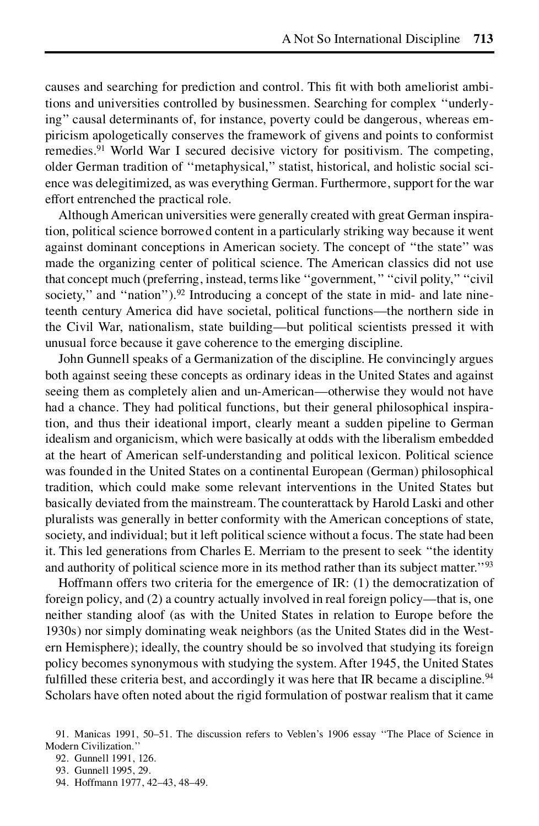causes and searching for prediction and control. This fit with both ameliorist ambitions and universities controlled by businessmen. Searching for complex ''underlying'' causal determinants of, for instance, poverty could be dangerous, whereas em piricism apologetically conserves the framework of givens and points to conformist remedies.<sup>91</sup> World War I secured decisive victory for positivism. The competing, older German tradition of ''metaphysical,'' statist, historical, and holistic social sci ence was delegitimized, as was everything German. Furthermore, support for the war effort entrenched the practical role.

Although American universities were generally created with great German inspiration, political science borrowed content in a particularly striking way because it went against dominant conceptions in American society. The concept of ''the state'' was made the organizing center of political science. The American classics did not use that concept much (preferring, instead, terms like "government," "civil polity," "civil society," and "nation").<sup>92</sup> Introducing a concept of the state in mid- and late nineteenth century America did have societal, political functions—the northern side in the Civil War, nationalism, state building—but political scientists pressed it with unusual force because it gave coherence to the emerging discipline.

John Gunnell speaks of a Germanization of the discipline. He convincingly argues both against seeing these concepts as ordinary ideas in the United States and against seeing them as completely alien and un-American—otherwise they would not have had a chance. They had political functions, but their general philosophical inspiration, and thus their ideational import, clearly meant a sudden pipeline to German idealism and organicism, which were basically at odds with the liberalism embedded at the heart of American self-understanding and political lexicon. Political science was founded in the United States on a continental European (German) philosophical tradition, which could make some relevant interventions in the United States but basically deviated from the mainstream. The counterattack by Harold Laski and other pluralists was generally in better conformity with the American conceptions of state, society, and individual; but it left political science without a focus. The state had been it. This led generations from Charles E. Merriam to the present to seek ''the identity and authority of political science more in its method rather than its subject matter.'' 93

Hoffmann offers two criteria for the emergence of IR: (1) the democratization of foreign policy, and (2) a country actually involved in real foreign policy—that is, one neither standing aloof (as with the United States in relation to Europe before the 1930s) nor simply dominating weak neighbors (as the United States did in the West ern Hemisphere); ideally, the country should be so involved that studying its foreign policy becomes synonymous with studying the system. After 1945, the United States ful filled these criteria best, and accordingly it was here that IR became a discipline.<sup>94</sup> Scholars have often noted about the rigid formulation of postwar realism that it came

- 92. Gunnell 1991, 126.
- 93. Gunnell 1995, 29.
- 94. Hoffmann 1977, 42–43, 48–49.

<sup>91.</sup> Manicas 1991, 50–51. The discussion refers to Veblen's 1906 essay ''The Place of Science in Modern Civilization.''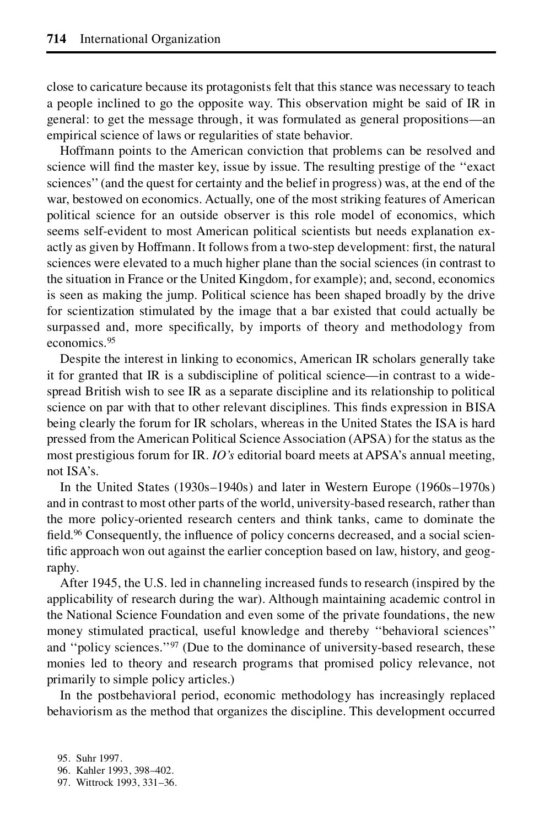close to caricature because its protagonists felt that this stance was necessary to teach a people inclined to go the opposite way. This observation might be said of IR in general: to get the message through, it was formulated as general propositions—an empirical science of laws or regularities of state behavior.

Hoffmann points to the American conviction that problems can be resolved and science will find the master key, issue by issue. The resulting prestige of the "exact sciences''(and the quest for certainty and the belief in progress) was, at the end of the war, bestowed on economics. Actually, one of the most striking features of American political science for an outside observer is this role model of economics, which seems self-evident to most American political scientists but needs explanation ex actly as given by Hoffmann. It follows from a two-step development: first, the natural sciences were elevated to a much higher plane than the social sciences (in contrast to the situation in France or the United Kingdom, for example); and, second, economics is seen as making the jump. Political science has been shaped broadly by the drive for scientization stimulated by the image that a bar existed that could actually be surpassed and, more specifically, by imports of theory and methodology from economics.<sup>95</sup>

Despite the interest in linking to economics, American IR scholars generally take it for granted that IR is a subdiscipline of political science—in contrast to a widespread British wish to see IR as a separate discipline and its relationship to political science on par with that to other relevant disciplines. This finds expression in BISA being clearly the forum for IR scholars, whereas in the United States the ISA is hard pressed from the American Political Science Association (APSA) for the status as the most prestigious forum for IR. *IO's* editorial board meets at APSA's annual meeting, not ISA's.

In the United States (1930s–1940s) and later in Western Europe (1960s–1970s) and in contrast to most other parts of the world, university-based research, rather than the more policy-oriented research centers and think tanks, came to dominate the field.<sup>96</sup> Consequently, the influence of policy concerns decreased, and a social scientific approach won out against the earlier conception based on law, history, and geography.

After 1945, the U.S. led in channeling increased funds to research (inspired by the applicability of research during the war). Although maintaining academic control in the National Science Foundation and even some of the private foundations, the new money stimulated practical, useful knowledge and thereby ''behavioral sciences'' and ''policy sciences.'' <sup>97</sup> (Due to the dominance of university-based research, these monies led to theory and research programs that promised policy relevance, not primarily to simple policy articles.)

In the postbehavioral period, economic methodology has increasingly replaced behaviorism as the method that organizes the discipline. This development occurred

<sup>96.</sup> Kahler 1993, 398–402.

<sup>97.</sup> Wittrock 1993, 331–36.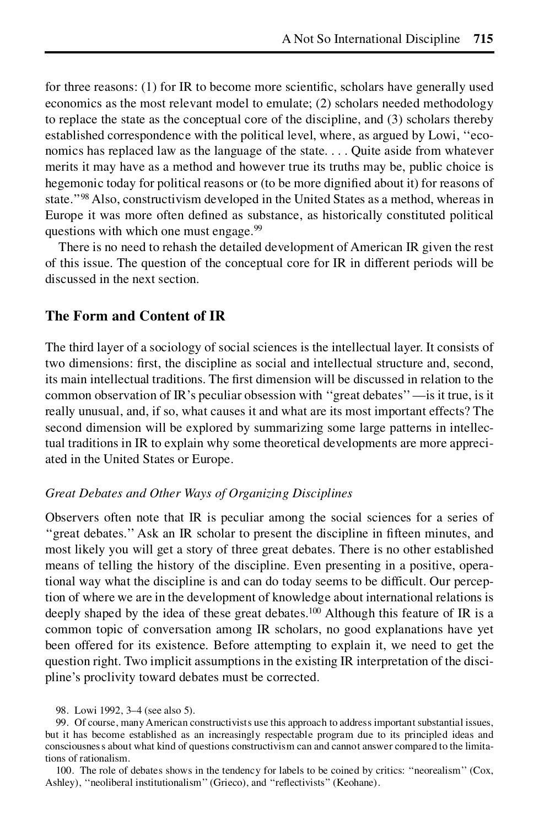for three reasons:  $(1)$  for IR to become more scientific, scholars have generally used economics as the most relevant model to emulate; (2) scholars needed methodology to replace the state as the conceptual core of the discipline, and (3) scholars thereby established correspondence with the political level, where, as argued by Lowi, ''eco nomics has replaced law as the language of the state. . . . Quite aside from whatever merits it may have as a method and however true its truths may be, public choice is hegemonic today for political reasons or (to be more dignified about it) for reasons of state.'' <sup>98</sup> Also, constructivism developed in the United States as a method, whereas in Europe it was more often defined as substance, as historically constituted political questions with which one must engage.<sup>99</sup>

There is no need to rehash the detailed development of American IR given the rest of this issue. The question of the conceptual core for IR in different periods will be discussed in the next section.

# **The Form and Content of IR**

The third layer of a sociology of social sciences is the intellectual layer. It consists of two dimensions: first, the discipline as social and intellectual structure and, second, its main intellectual traditions. The first dimension will be discussed in relation to the common observation of IR's peculiar obsession with ''great debates''—is it true, is it really unusual, and, if so, what causes it and what are its most important effects? The second dimension will be explored by summarizing some large patterns in intellectual traditions in IR to explain why some theoretical developments are more appreci ated in the United States or Europe.

## *Great Debates and Other Ways of Organizing Disciplines*

Observers often note that IR is peculiar among the social sciences for a series of "great debates." Ask an IR scholar to present the discipline in fifteen minutes, and most likely you will get a story of three great debates. There is no other established means of telling the history of the discipline. Even presenting in a positive, operational way what the discipline is and can do today seems to be difficult. Our perception of where we are in the development of knowledge about international relations is deeply shaped by the idea of these great debates.<sup>100</sup> Although this feature of IR is a common topic of conversation among IR scholars, no good explanations have yet been offered for its existence. Before attempting to explain it, we need to get the question right. Two implicit assumptions in the existing IR interpretation of the disci pline's proclivity toward debates must be corrected.

100. The role of debates shows in the tendency for labels to be coined by critics: ''neorealism'' (Cox, Ashley), "neoliberal institutionalism" (Grieco), and "reflectivists" (Keohane).

<sup>98.</sup> Lowi 1992, 3–4 (see also 5).

<sup>99.</sup> Of course, manyAmerican constructivists use this approach to address important substantial issues, but it has become established as an increasingly respectable program due to its principled ideas and consciousness about what kind of questions constructivism can and cannot answer compared to the limitations of rationalism.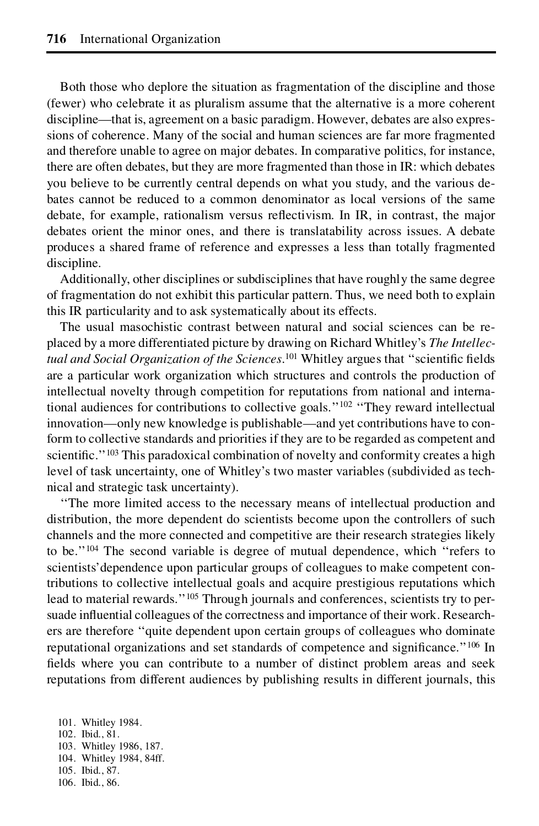Both those who deplore the situation as fragmentation of the discipline and those (fewer) who celebrate it as pluralism assume that the alternative is a more coherent discipline—that is, agreement on a basic paradigm. However, debates are also expressions of coherence. Many of the social and human sciences are far more fragmented and therefore unable to agree on major debates. In comparative politics, for instance, there are often debates, but they are more fragmented than those in IR: which debates you believe to be currently central depends on what you study, and the various de bates cannot be reduced to a common denominator as local versions of the same debate, for example, rationalism versus reflectivism. In IR, in contrast, the major debates orient the minor ones, and there is translatability across issues. A debate produces a shared frame of reference and expresses a less than totally fragmented discipline.

Additionally, other disciplines or subdisciplines that have roughly the same degree of fragmentation do not exhibit this particular pattern. Thus, we need both to explain this IR particularity and to ask systematically about its effects.

The usual masochistic contrast between natural and social sciences can be re placed by a more differentiated picture by drawing on Richard Whitley's *The Intellectual and Social Organization of the Sciences.<sup>101</sup> Whitley argues that "scientific fields* are a particular work organization which structures and controls the production of intellectual novelty through competition for reputations from national and international audiences for contributions to collective goals.'' <sup>102</sup> ''They reward intellectual innovation—only new knowledge is publishable—and yet contributions have to conform to collective standards and priorities if they are to be regarded as competent and scientific."<sup>103</sup> This paradoxical combination of novelty and conformity creates a high level of task uncertainty, one of Whitley's two master variables (subdivided as tech nical and strategic task uncertainty).

''The more limited access to the necessary means of intellectual production and distribution, the more dependent do scientists become upon the controllers of such channels and the more connected and competitive are their research strategies likely to be.'' <sup>104</sup> The second variable is degree of mutual dependence, which ''refers to scientists'dependence upon particular groups of colleagues to make competent contributions to collective intellectual goals and acquire prestigious reputations which lead to material rewards."<sup>105</sup> Through journals and conferences, scientists try to persuade influential colleagues of the correctness and importance of their work. Researchers are therefore ''quite dependent upon certain groups of colleagues who dominate reputational organizations and set standards of competence and significance."<sup>106</sup> In fields where you can contribute to a number of distinct problem areas and seek reputations from different audiences by publishing results in different journals, this

101. Whitley 1984. 102. Ibid., 81. 103. Whitley 1986, 187. 104. Whitley 1984, 84ff. 105. Ibid., 87. 106. Ibid., 86.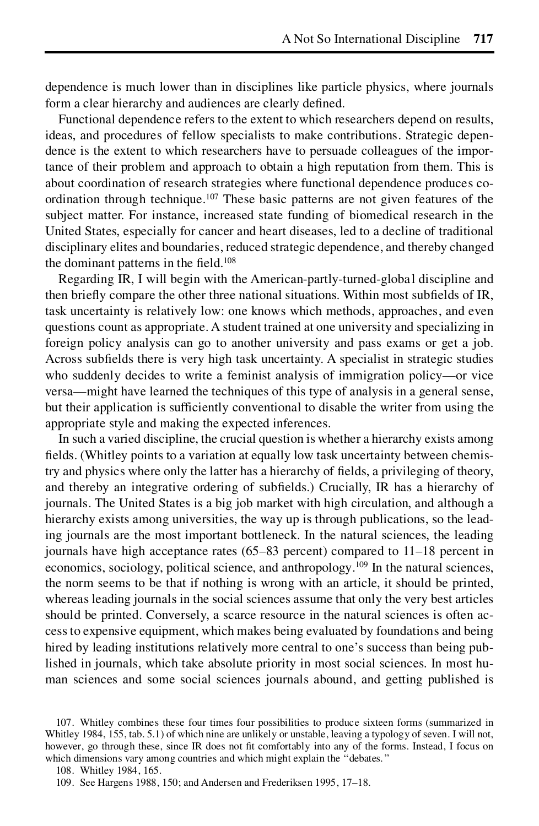dependence is much lower than in disciplines like particle physics, where journals form a clear hierarchy and audiences are clearly defined.

Functional dependence refers to the extent to which researchers depend on results, ideas, and procedures of fellow specialists to make contributions. Strategic depen dence is the extent to which researchers have to persuade colleagues of the importance of their problem and approach to obtain a high reputation from them. This is about coordination of research strategies where functional dependence produces co ordination through technique.<sup>107</sup> These basic patterns are not given features of the subject matter. For instance, increased state funding of biomedical research in the United States, especially for cancer and heart diseases, led to a decline of traditional disciplinary elites and boundaries, reduced strategic dependence, and thereby changed the dominant patterns in the field.<sup>108</sup>

Regarding IR, I will begin with the American-partly-turned-global discipline and then briefly compare the other three national situations. Within most subfields of IR, task uncertainty is relatively low: one knows which methods, approaches, and even questions count as appropriate. A student trained at one university and specializing in foreign policy analysis can go to another university and pass exams or get a job. Across subfields there is very high task uncertainty. A specialist in strategic studies who suddenly decides to write a feminist analysis of immigration policy—or vice versa—might have learned the techniques of this type of analysis in a general sense, but their application is sufficiently conventional to disable the writer from using the appropriate style and making the expected inferences.

In such a varied discipline, the crucial question is whether a hierarchy exists among fields. (Whitley points to a variation at equally low task uncertainty between chemistry and physics where only the latter has a hierarchy of fields, a privileging of theory, and thereby an integrative ordering of subfields.) Crucially, IR has a hierarchy of journals. The United States is a big job market with high circulation, and although a hierarchy exists among universities, the way up is through publications, so the leading journals are the most important bottleneck. In the natural sciences, the leading journals have high acceptance rates (65–83 percent) compared to 11–18 percent in economics, sociology, political science, and anthropology.<sup>109</sup> In the natural sciences, the norm seems to be that if nothing is wrong with an article, it should be printed, whereas leading journals in the social sciences assume that only the very best articles should be printed. Conversely, a scarce resource in the natural sciences is often ac cess to expensive equipment, which makes being evaluated by foundations and being hired by leading institutions relatively more central to one's success than being published in journals, which take absolute priority in most social sciences. In most hu man sciences and some social sciences journals abound, and getting published is

<sup>107.</sup> Whitley combines these four times four possibilities to produce sixteen forms (summarized in Whitley 1984, 155, tab. 5.1) of which nine are unlikely or unstable, leaving a typology of seven. I will not, however, go through these, since IR does not fit comfortably into any of the forms. Instead, I focus on which dimensions vary among countries and which might explain the "debates."

<sup>108.</sup> Whitley 1984, 165.

<sup>109.</sup> See Hargens 1988, 150; and Andersen and Frederiksen 1995, 17–18.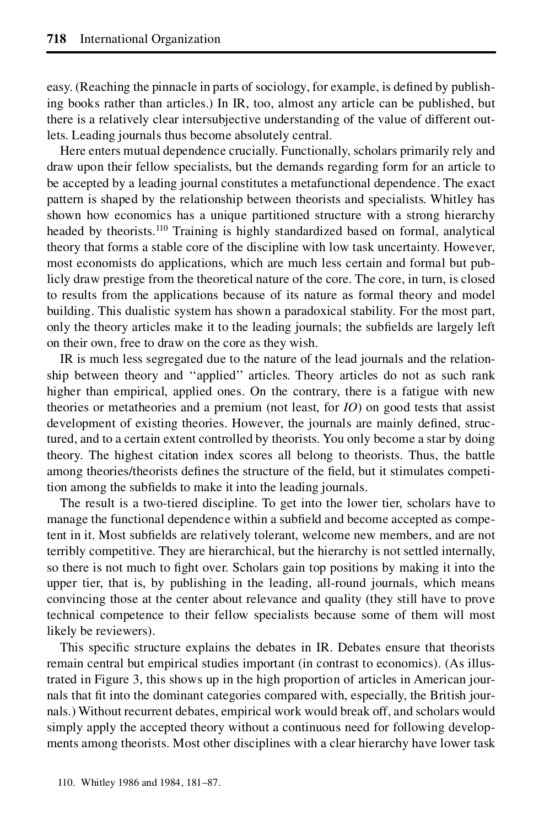easy. (Reaching the pinnacle in parts of sociology, for example, is defined by publishing books rather than articles.) In IR, too, almost any article can be published, but there is a relatively clear intersubjective understanding of the value of different outlets. Leading journals thus become absolutely central.

Here enters mutual dependence crucially. Functionally, scholars primarily rely and draw upon their fellow specialists, but the demands regarding form for an article to be accepted by a leading journal constitutes a metafunctional dependence. The exact pattern is shaped by the relationship between theorists and specialists. Whitley has shown how economics has a unique partitioned structure with a strong hierarchy headed by theorists.<sup>110</sup> Training is highly standardized based on formal, analytical theory that forms a stable core of the discipline with low task uncertainty. However, most economists do applications, which are much less certain and formal but publicly draw prestige from the theoretical nature of the core. The core, in turn, is closed to results from the applications because of its nature as formal theory and model building. This dualistic system has shown a paradoxical stability. For the most part, only the theory articles make it to the leading journals; the subfields are largely left on their own, free to draw on the core as they wish.

IR ismuch less segregated due to the nature of the lead journals and the relationship between theory and ''applied'' articles. Theory articles do not as such rank higher than empirical, applied ones. On the contrary, there is a fatigue with new theories or metatheories and a premium (not least, for *IO*) on good tests that assist development of existing theories. However, the journals are mainly defined, structured, and to a certain extent controlled by theorists. You only become a star by doing theory. The highest citation index scores all belong to theorists. Thus, the battle among theories/theorists defines the structure of the field, but it stimulates competition among the subfields to make it into the leading journals.

The result is a two-tiered discipline. To get into the lower tier, scholars have to manage the functional dependence within a subfield and become accepted as competent in it. Most subfields are relatively tolerant, welcome new members, and are not terribly competitive. They are hierarchical, but the hierarchy is not settled internally, so there is not much to fight over. Scholars gain top positions by making it into the upper tier, that is, by publishing in the leading, all-round journals, which means convincing those at the center about relevance and quality (they still have to prove technical competence to their fellow specialists because some of them will most likely be reviewers).

This specific structure explains the debates in IR. Debates ensure that theorists remain central but empirical studies important (in contrast to economics). (As illustrated in Figure 3, this shows up in the high proportion of articles in American jour nals that fit into the dominant categories compared with, especially, the British journals.) Without recurrent debates, empirical work would break off, and scholars would simply apply the accepted theory without a continuous need for following develop ments among theorists. Most other disciplines with a clear hierarchy have lower task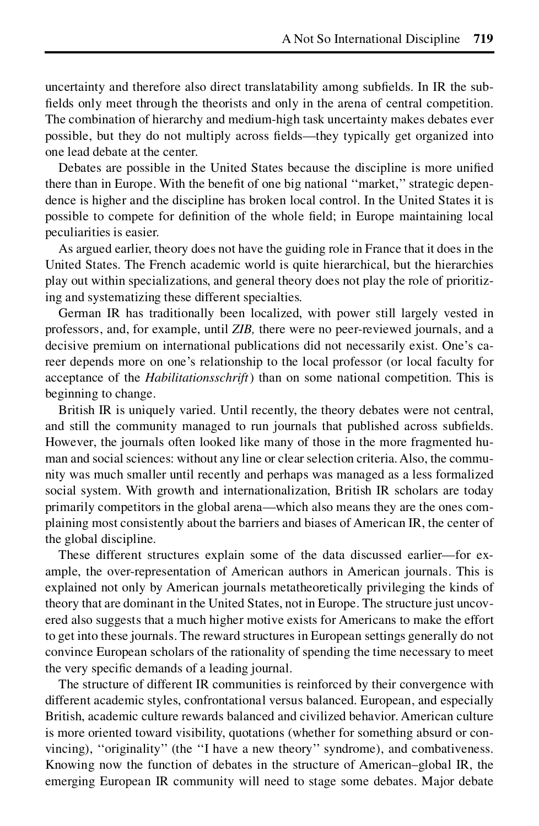uncertainty and therefore also direct translatability among subfields. In IR the subfields only meet through the theorists and only in the arena of central competition. The combination of hierarchy and medium-high task uncertainty makes debates ever possible, but they do not multiply across fields—they typically get organized into one lead debate at the center.

Debates are possible in the United States because the discipline is more unified there than in Europe. With the benefit of one big national "market," strategic dependence is higher and the discipline has broken local control. In the United States it is possible to compete for definition of the whole field; in Europe maintaining local peculiarities is easier.

As argued earlier, theory does not have the guiding role in France that it does in the United States. The French academic world is quite hierarchical, but the hierarchies play out within specializations, and general theory does not play the role of prioritizing and systematizing these different specialties.

German IR has traditionally been localized, with power still largely vested in professors, and, for example, until *ZIB,* there were no peer-reviewed journals, and a decisive premium on international publications did not necessarily exist. One's career depends more on one's relationship to the local professor (or local faculty for acceptance of the *Habilitationsschrift*) than on some national competition. This is beginning to change.

British IR is uniquely varied. Until recently, the theory debates were not central, and still the community managed to run journals that published across subfields. However, the journals often looked like many of those in the more fragmented hu man and social sciences: without any line or clear selection criteria.Also, the commu nity was much smaller until recently and perhaps was managed as a less formalized social system. With growth and internationalization, British IR scholars are today primarily competitors in the global arena—which also means they are the ones com plaining most consistently about the barriers and biases of American IR, the center of the global discipline.

These different structures explain some of the data discussed earlier—for ex ample, the over-representation of American authors in American journals. This is explained not only by American journals metatheoretically privileging the kinds of theory that are dominant in the United States, not in Europe. The structure just uncov ered also suggests that a much higher motive exists for Americans to make the effort to get into these journals. The reward structures in European settings generally do not convince European scholars of the rationality of spending the time necessary to meet the very specific demands of a leading journal.

The structure of different IR communities is reinforced by their convergence with different academic styles, confrontational versus balanced. European, and especially British, academic culture rewards balanced and civilized behavior. American culture is more oriented toward visibility, quotations (whether for something absurd or con vincing), ''originality'' (the ''I have a new theory'' syndrome), and combativeness. Knowing now the function of debates in the structure of American–global IR, the emerging European IR community will need to stage some debates. Major debate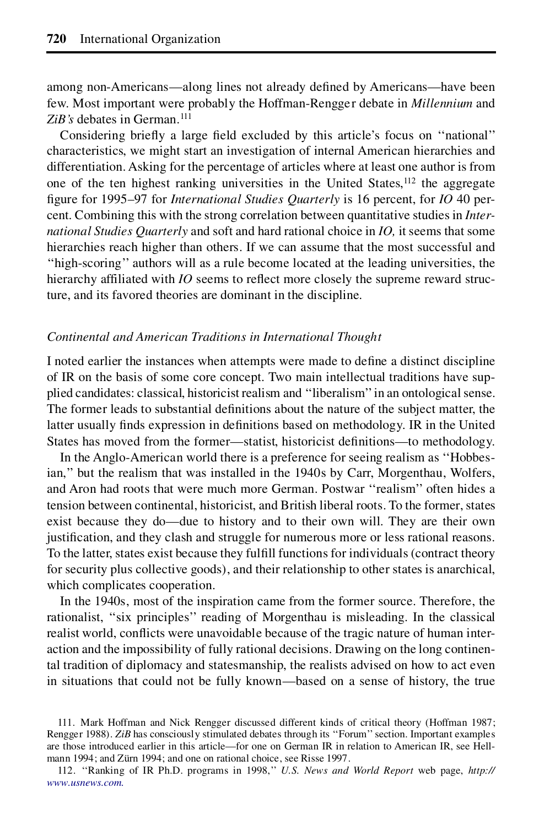among non-Americans—along lines not already defined by Americans—have been few. Most important were probably the Hoffman-Rengger debate in *Millennium* and ZiB's debates in German.<sup>111</sup>

Considering briefly a large field excluded by this article's focus on "national" characteristics, we might start an investigation of internal American hierarchies and differentiation. Asking for the percentage of articles where at least one author is from one of the ten highest ranking universities in the United States, $1/12$  the aggregate gure for 1995–97 for *International Studies Quarterly* is 16 percent, for *IO* 40 percent. Combining this with the strong correlation between quantitative studies in *International Studies Quarterly* and soft and hard rational choice in *IO,* it seems that some hierarchies reach higher than others. If we can assume that the most successful and "high-scoring" authors will as a rule become located at the leading universities, the hierarchy affiliated with *IO* seems to reflect more closely the supreme reward structure, and its favored theories are dominant in the discipline.

#### *Continental and American Traditions in International Thought*

I noted earlier the instances when attempts were made to define a distinct discipline of IR on the basis of some core concept. Two main intellectual traditions have sup plied candidates: classical, historicist realism and ''liberalism''in an ontologicalsense. The former leads to substantial definitions about the nature of the subject matter, the latter usually finds expression in definitions based on methodology. IR in the United States has moved from the former—statist, historicist definitions—to methodology.

In the Anglo-American world there is a preference for seeing realism as ''Hobbesian,'' but the realism that was installed in the 1940s by Carr, Morgenthau, Wolfers, and Aron had roots that were much more German. Postwar ''realism'' often hides a tension between continental, historicist, and British liberal roots. To the former, states exist because they do—due to history and to their own will. They are their own justification, and they clash and struggle for numerous more or less rational reasons. To the latter, states exist because they fulfill functions for individuals (contract theory for security plus collective goods), and their relationship to other states is anarchical, which complicates cooperation.

In the 1940s, most of the inspiration came from the former source. Therefore, the rationalist, ''six principles'' reading of Morgenthau is misleading. In the classical realist world, conflicts were unavoidable because of the tragic nature of human interaction and the impossibility of fully rational decisions. Drawing on the long continental tradition of diplomacy and statesmanship, the realists advised on how to act even in situations that could not be fully known—based on a sense of history, the true

<sup>111.</sup> Mark Hoffman and Nick Rengger discussed different kinds of critical theory (Hoffman 1987; Rengger 1988). *ZiB* has consciously stimulated debates through its ''Forum''section. Important examples are those introduced earlier in this article—for one on German IR in relation to American IR, see Hell mann 1994; and Zürn 1994; and one on rational choice, see Risse 1997.

<sup>112.</sup> ''Ranking of IR Ph.D. programs in 1998,'' *U.S. News and World Report* web page, *http:// [www.usnews.com.](http://www.usnews.com.)*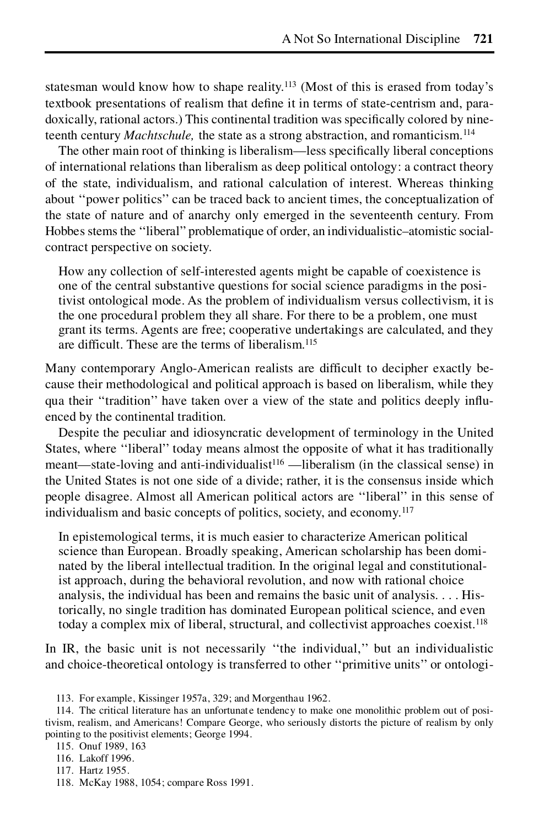statesman would know how to shape reality.<sup>113</sup> (Most of this is erased from today's textbook presentations of realism that define it in terms of state-centrism and, paradoxically, rational actors.) This continental tradition was specifically colored by nineteenth century *Machtschule,* the state as a strong abstraction, and romanticism.<sup>114</sup>

The other main root of thinking is liberalism—less specifically liberal conceptions of international relations than liberalism as deep political ontology: a contract theory of the state, individualism, and rational calculation of interest. Whereas thinking about ''power politics'' can be traced back to ancient times, the conceptualization of the state of nature and of anarchy only emerged in the seventeenth century. From Hobbes stems the ''liberal''problematique of order, an individualistic–atomistic social contract perspective on society.

How any collection of self-interested agents might be capable of coexistence is one of the central substantive questions for social science paradigms in the positivist ontological mode. As the problem of individualism versus collectivism, it is the one procedural problem they all share. For there to be a problem, one must grant its terms. Agents are free; cooperative undertakings are calculated, and they are difficult. These are the terms of liberalism.<sup>115</sup>

Many contemporary Anglo-American realists are difficult to decipher exactly be cause their methodological and political approach is based on liberalism, while they qua their "tradition" have taken over a view of the state and politics deeply influenced by the continental tradition.

Despite the peculiar and idiosyncratic development of terminology in the United States, where ''liberal'' today means almost the opposite of what it has traditionally meant—state-loving and anti-individualist<sup>116</sup> —liberalism (in the classical sense) in the United States is not one side of a divide; rather, it is the consensus inside which people disagree. Almost all American political actors are ''liberal'' in this sense of individualism and basic concepts of politics, society, and economy.<sup>117</sup>

In epistemological terms, it is much easier to characterize American political science than European. Broadly speaking, American scholarship has been domi nated by the liberal intellectual tradition. In the original legal and constitutionalist approach, during the behavioral revolution, and now with rational choice analysis, the individual has been and remains the basic unit of analysis. . . . Historically, no single tradition has dominated European political science, and even today a complex mix of liberal, structural, and collectivist approaches coexist.<sup>118</sup>

In IR, the basic unit is not necessarily ''the individual,'' but an individualistic and choice-theoretical ontology is transferred to other ''primitive units'' or ontologi-

- 115. Onuf 1989, 163
- 116. Lakoff 1996.
- 117. Hartz 1955.
- 118. McKay 1988, 1054; compare Ross 1991.

<sup>113.</sup> For example, Kissinger 1957a, 329; and Morgenthau 1962.

<sup>114.</sup> The critical literature has an unfortunate tendency to make one monolithic problem out of positivism, realism, and Americans! Compare George, who seriously distorts the picture of realism by only pointing to the positivist elements; George 1994.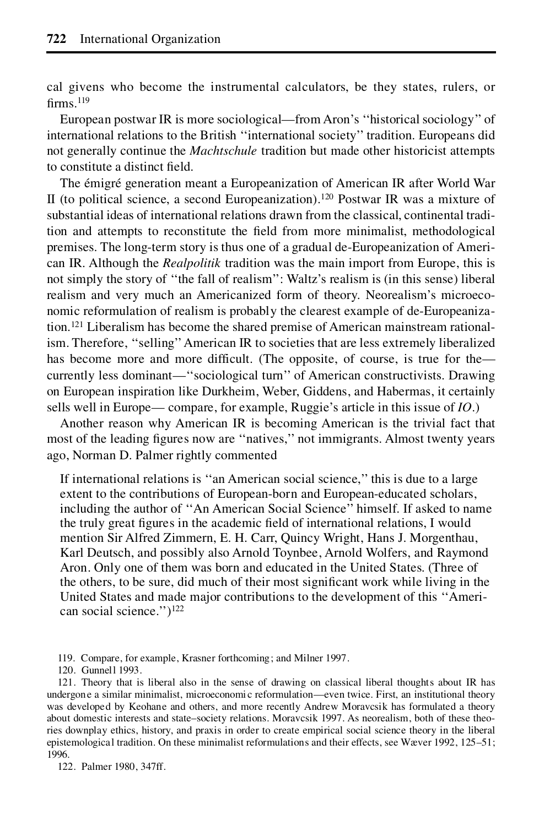cal givens who become the instrumental calculators, be they states, rulers, or  $firms.$ <sup>119</sup>

European postwar IR is more sociological—from Aron's ''historical sociology'' of international relations to the British ''international society'' tradition. Europeans did not generally continue the *Machtschule* tradition but made other historicist attempts to constitute a distinct field.

The émigré generation meant a Europeanization of American IR after World War II (to political science, a second Europeanization).<sup>120</sup> Postwar IR was a mixture of substantial ideas of international relations drawn from the classical, continental tradition and attempts to reconstitute the field from more minimalist, methodological premises. The long-term story is thus one of a gradual de-Europeanization of Ameri can IR. Although the *Realpolitik* tradition was the main import from Europe, this is not simply the story of ''the fall of realism'': Waltz's realism is (in this sense) liberal realism and very much an Americanized form of theory. Neorealism's microeco nomic reformulation of realism is probably the clearest example of de-Europeanization.<sup>121</sup> Liberalism has become the shared premise of American mainstream rationalism. Therefore, ''selling''American IR to societies that are less extremely liberalized has become more and more difficult. (The opposite, of course, is true for the currently less dominant—''sociological turn'' of American constructivists. Drawing on European inspiration like Durkheim, Weber, Giddens, and Habermas, it certainly sells well in Europe— compare, for example, Ruggie's article in this issue of *IO*.)

Another reason why American IR is becoming American is the trivial fact that most of the leading figures now are "natives," not immigrants. Almost twenty years ago, Norman D. Palmer rightly commented

If international relations is ''an American social science,'' this is due to a large extent to the contributions of European-born and European-educated scholars, including the author of ''An American Social Science'' himself. If asked to name the truly great figures in the academic field of international relations, I would mention Sir Alfred Zimmern, E. H. Carr, Quincy Wright, Hans J. Morgenthau, Karl Deutsch, and possibly also Arnold Toynbee, Arnold Wolfers, and Raymond Aron. Only one of them was born and educated in the United States. (Three of the others, to be sure, did much of their most significant work while living in the United States and made major contributions to the development of this ''Ameri can social science.'') 122

119. Compare, for example, Krasner forthcoming; and Milner 1997.

120. Gunnell 1993.

121. Theory that is liberal also in the sense of drawing on classical liberal thoughts about IR has undergone a similar minimalist, microeconomi c reformulation—even twice. First, an institutional theory was developed by Keohane and others, and more recently Andrew Moravcsik has formulated a theory about domestic interests and state–society relations. Moravcsik 1997. As neorealism, both of these theories downplay ethics, history, and praxis in order to create empirical social science theory in the liberal epistemological tradition. On these minimalist reformulations and their effects, see Wæver 1992, 125–51; 1996.

122. Palmer 1980, 347ff.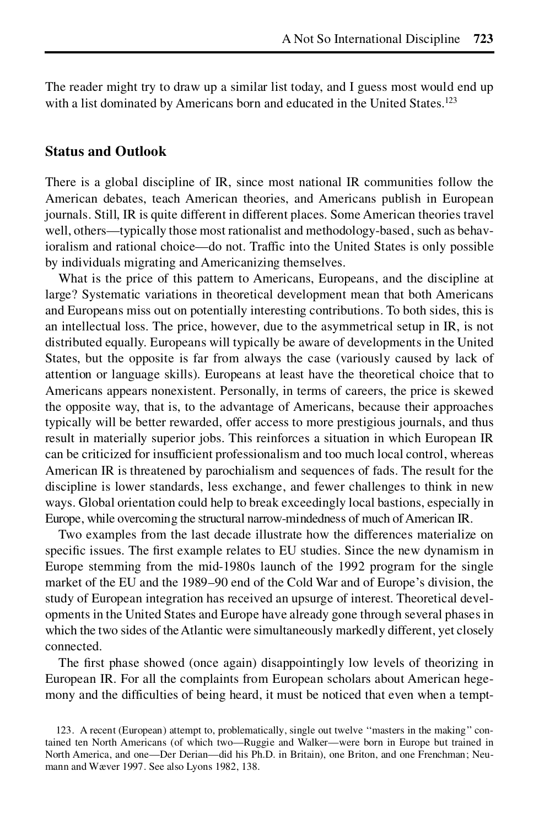The reader might try to draw up a similar list today, and I guess most would end up with a list dominated by Americans born and educated in the United States.<sup>123</sup>

## **Status and Outlook**

There is a global discipline of IR, since most national IR communities follow the American debates, teach American theories, and Americans publish in European journals. Still, IR isquite different in different places. Some American theories travel well, others—typically those most rationalist and methodology-based, such as behavioralism and rational choice—do not. Traffic into the United States is only possible by individuals migrating and Americanizing themselves.

What is the price of this pattern to Americans, Europeans, and the discipline at large? Systematic variations in theoretical development mean that both Americans and Europeans miss out on potentially interesting contributions. To both sides, this is an intellectual loss. The price, however, due to the asymmetrical setup in IR, is not distributed equally. Europeans will typically be aware of developments in the United States, but the opposite is far from always the case (variously caused by lack of attention or language skills). Europeans at least have the theoretical choice that to Americans appears nonexistent. Personally, in terms of careers, the price is skewed the opposite way, that is, to the advantage of Americans, because their approaches typically will be better rewarded, offer access to more prestigious journals, and thus result in materially superior jobs. This reinforces a situation in which European IR can be criticized for insufficient professionalism and too much local control, whereas American IR is threatened by parochialism and sequences of fads. The result for the discipline is lower standards, less exchange, and fewer challenges to think in new ways. Global orientation could help to break exceedingly local bastions, especially in Europe, while overcoming the structural narrow-mindedness of much of American IR.

Two examples from the last decade illustrate how the differences materialize on specific issues. The first example relates to EU studies. Since the new dynamism in Europe stemming from the mid-1980s launch of the 1992 program for the single market of the EU and the 1989–90 end of the Cold War and of Europe's division, the study of European integration has received an upsurge of interest. Theoretical devel opments in the United States and Europe have already gone through several phases in which the two sides of the Atlantic were simultaneously markedly different, yet closely connected.

The first phase showed (once again) disappointingly low levels of theorizing in European IR. For all the complaints from European scholars about American hege mony and the difficulties of being heard, it must be noticed that even when a tempt-

<sup>123.</sup> A recent (European) attempt to, problematically, single out twelve ''masters in the making'' contained ten North Americans (of which two—Ruggie and Walker—were born in Europe but trained in North America, and one—Der Derian—did his Ph.D. in Britain), one Briton, and one Frenchman; Neu mann and Wæver 1997. See also Lyons 1982, 138.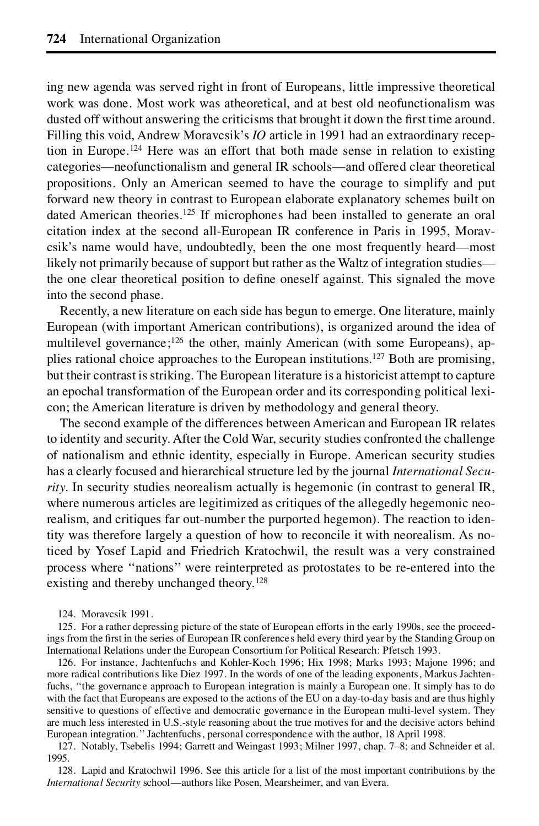ing new agenda was served right in front of Europeans, little impressive theoretical work was done. Most work was atheoretical, and at best old neofunctionalism was dusted off without answering the criticisms that brought it down the first time around. Filling this void, Andrew Moravcsik's *IO* article in 1991 had an extraordinary reception in Europe.<sup>124</sup> Here was an effort that both made sense in relation to existing categories—neofunctionalism and general IR schools—and offered clear theoretical propositions. Only an American seemed to have the courage to simplify and put forward new theory in contrast to European elaborate explanatory schemes built on dated American theories.<sup>125</sup> If microphones had been installed to generate an oral citation index at the second all-European IR conference in Paris in 1995, Morav csik's name would have, undoubtedly, been the one most frequently heard—most likely not primarily because of support but rather as the Waltz of integration studies the one clear theoretical position to define oneself against. This signaled the move into the second phase.

Recently, a new literature on each side has begun to emerge. One literature, mainly European (with important American contributions), is organized around the idea of multilevel governance;<sup>126</sup> the other, mainly American (with some Europeans), applies rational choice approaches to the European institutions.<sup>127</sup> Both are promising, but their contrast is striking. The European literature is a historicist attempt to capture an epochal transformation of the European order and its corresponding political lexi con; the American literature is driven by methodology and general theory.

The second example of the differences between American and European IR relates to identity and security. After the Cold War, security studies confronted the challenge of nationalism and ethnic identity, especially in Europe. American security studies has a clearly focused and hierarchical structure led by the journal *International Security*. In security studies neorealism actually is hegemonic (in contrast to general IR, where numerous articles are legitimized as critiques of the allegedly hegemonic neorealism, and critiques far out-number the purported hegemon). The reaction to identity was therefore largely a question of how to reconcile it with neorealism. As noticed by Yosef Lapid and Friedrich Kratochwil, the result was a very constrained process where ''nations'' were reinterpreted as protostates to be re-entered into the existing and thereby unchanged theory.<sup>128</sup>

124. Moravcsik 1991.

125. For a rather depressing picture of the state of European efforts in the early 1990s, see the proceedings from the first in the series of European IR conferences held every third year by the Standing Group on International Relations under the European Consortium for Political Research: Pfetsch 1993.

126. For instance, Jachtenfuchs and Kohler-Koch 1996; Hix 1998; Marks 1993; Majone 1996; and more radical contributions like Diez 1997. In the words of one of the leading exponents, Markus Jachtenfuchs, "the governance approach to European integration is mainly a European one. It simply has to do with the fact that Europeans are exposed to the actions of the EU on a day-to-day basis and are thus highly sensitive to questions of effective and democratic governanc e in the European multi-level system. They are much less interested in U.S.-style reasoning about the true motives for and the decisive actors behind European integration.''Jachtenfuchs, personal correspondenc e with the author, 18 April 1998.

127. Notably, Tsebelis 1994; Garrett and Weingast 1993; Milner 1997, chap. 7–8; and Schneider et al. 1995.

128. Lapid and Kratochwil 1996. See this article for a list of the most important contributions by the *International Security* school—authors like Posen, Mearsheimer, and van Evera.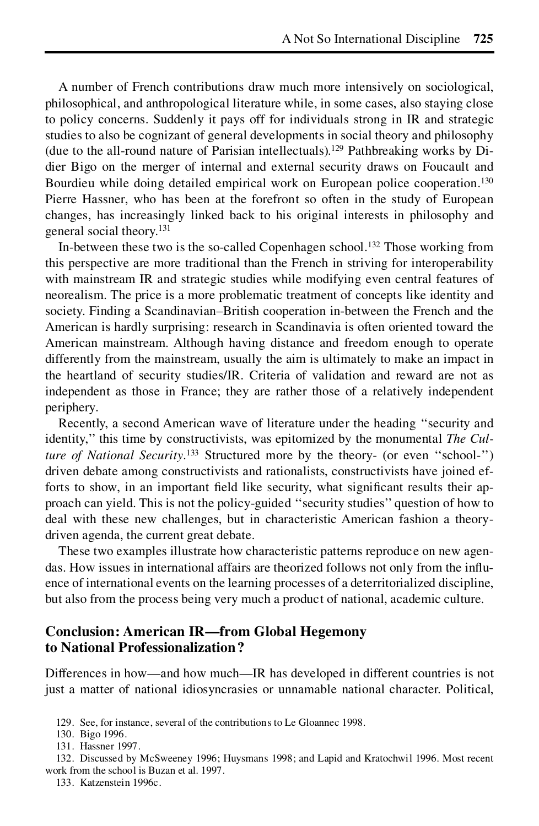A number of French contributions draw much more intensively on sociological, philosophical, and anthropological literature while, in some cases, also staying close to policy concerns. Suddenly it pays off for individuals strong in IR and strategic studies to also be cognizant of general developments in social theory and philosophy (due to the all-round nature of Parisian intellectuals).<sup>129</sup> Pathbreaking works by Didier Bigo on the merger of internal and external security draws on Foucault and Bourdieu while doing detailed empirical work on European police cooperation.<sup>130</sup> Pierre Hassner, who has been at the forefront so often in the study of European changes, has increasingly linked back to his original interests in philosophy and general social theory.<sup>131</sup>

In-between these two is the so-called Copenhagen school.<sup>132</sup> Those working from this perspective are more traditional than the French in striving for interoperability with mainstream IR and strategic studies while modifying even central features of neorealism. The price is a more problematic treatment of concepts like identity and society. Finding a Scandinavian–British cooperation in-between the French and the American is hardly surprising: research in Scandinavia is often oriented toward the American mainstream. Although having distance and freedom enough to operate differently from the mainstream, usually the aim is ultimately to make an impact in the heartland of security studies/IR. Criteria of validation and reward are not as independent as those in France; they are rather those of a relatively independent periphery.

Recently, a second American wave of literature under the heading ''security and identity,'' this time by constructivists, was epitomized by the monumental *The Culture of National Security*.<sup>133</sup> Structured more by the theory- (or even ''school-'') driven debate among constructivists and rationalists, constructivists have joined efforts to show, in an important field like security, what significant results their approach can yield. This is not the policy-guided ''security studies'' question of how to deal with these new challenges, but in characteristic American fashion a theory driven agenda, the current great debate.

These two examples illustrate how characteristic patterns reproduce on new agen das. How issues in international affairs are theorized follows not only from the influence of international events on the learning processes of a deterritorialized discipline, but also from the process being very much a product of national, academic culture.

# **Conclusion: American IR—from Global Hegemony to National Professionalization?**

Differences in how—and how much—IR has developed in different countries is not just a matter of national idiosyncrasies or unnamable national character. Political,

<sup>129.</sup> See, for instance, several of the contributions to Le Gloannec 1998.

<sup>130.</sup> Bigo 1996.

<sup>131.</sup> Hassner 1997.

<sup>132.</sup> Discussed by McSweeney 1996; Huysmans 1998; and Lapid and Kratochwil 1996. Most recent work from the school is Buzan et al. 1997.

<sup>133.</sup> Katzenstein 1996c.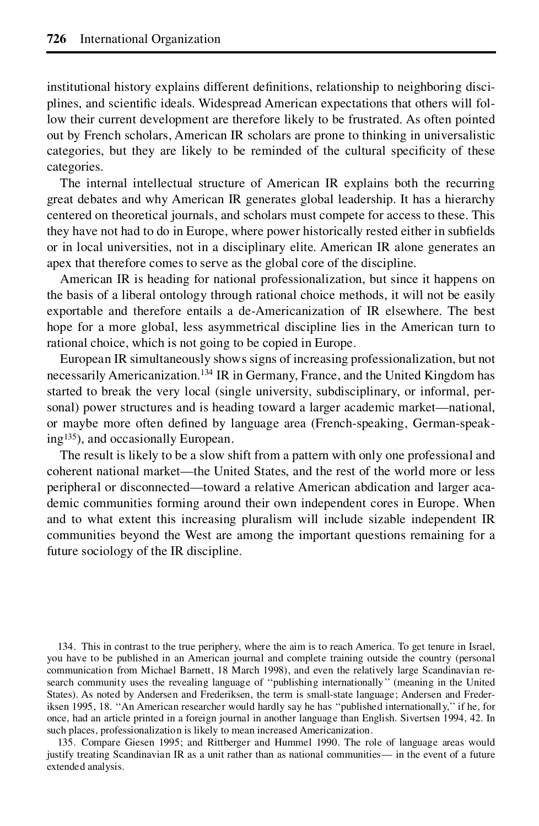institutional history explains different definitions, relationship to neighboring disciplines, and scientific ideals. Widespread American expectations that others will follow their current development are therefore likely to be frustrated. As often pointed out by French scholars, American IR scholars are prone to thinking in universalistic categories, but they are likely to be reminded of the cultural specificity of these categories.

The internal intellectual structure of American IR explains both the recurring great debates and why American IR generates global leadership. It has a hierarchy centered on theoretical journals, and scholars must compete for access to these. This they have not had to do in Europe, where power historically rested either in subfields or in local universities, not in a disciplinary elite. American IR alone generates an apex that therefore comes to serve as the global core of the discipline.

American IR is heading for national professionalization, but since it happens on the basis of a liberal ontology through rational choice methods, it will not be easily exportable and therefore entails a de-Americanization of IR elsewhere. The best hope for a more global, less asymmetrical discipline lies in the American turn to rational choice, which is not going to be copied in Europe.

European IR simultaneously shows signs of increasing professionalization, but not necessarily Americanization.<sup>134</sup> IR in Germany, France, and the United Kingdom has started to break the very local (single university, subdisciplinary, or informal, personal) power structures and is heading toward a larger academic market—national, or maybe more often defined by language area (French-speaking, German-speaking<sup>135</sup>), and occasionally European.

The result is likely to be a slow shift from a pattern with only one professional and coherent national market—the United States, and the rest of the world more or less peripheral or disconnected—toward a relative American abdication and larger aca demic communities forming around their own independent cores in Europe. When and to what extent this increasing pluralism will include sizable independent IR communities beyond the West are among the important questions remaining for a future sociology of the IR discipline.

134. This in contrast to the true periphery, where the aim is to reach America. To get tenure in Israel, you have to be published in an American journal and complete training outside the country (personal communication from Michael Barnett, 18 March 1998), and even the relatively large Scandinavian re search community uses the revealing language of ''publishing internationally'' (meaning in the United States). As noted by Andersen and Frederiksen, the term is small-state language; Andersen and Frederiksen 1995, 18. ''An American researcher would hardly say he has ''published internationally,'' if he, for once, had an article printed in a foreign journal in another language than English. Sivertsen 1994, 42. In such places, professionalization is likely to mean increased Americanization.

135. Compare Giesen 1995; and Rittberger and Hummel 1990. The role of language areas would justify treating Scandinavian IR as a unit rather than as national communities— in the event of a future extended analysis.